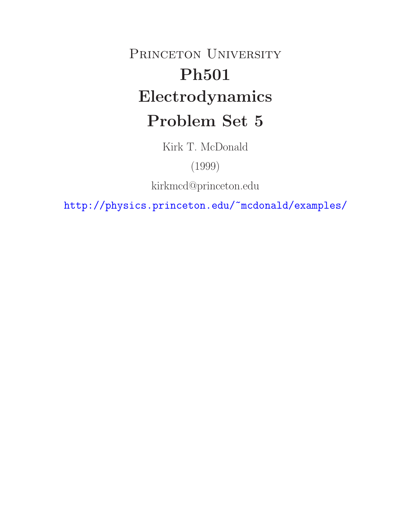## PRINCETON UNIVERSITY **Ph501 Electrodynamics Problem Set 5**

Kirk T. McDonald

(1999)

kirkmcd@princeton.edu

http://physics.princeton.edu/~mcdonald/examples/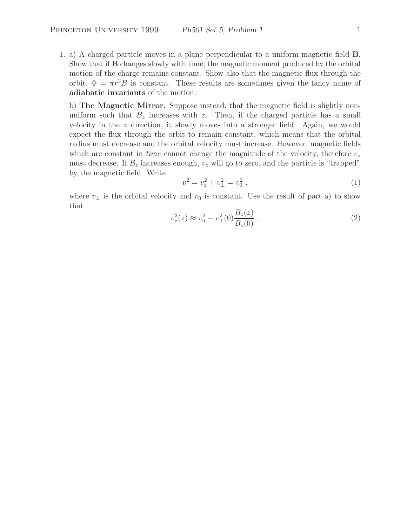1. a) A charged particle moves in a plane perpendicular to a uniform magnetic field **B**. Show that if **B** changes slowly with time, the magnetic moment produced by the orbital motion of the charge remains constant. Show also that the magnetic flux through the orbit,  $\Phi = \pi r^2 B$  is constant. These results are sometimes given the fancy name of **adiabatic invariants** of the motion.

b) **The Magnetic Mirror**. Suppose instead, that the magnetic field is slightly nonuniform such that  $B_z$  increases with z. Then, if the charged particle has a small velocity in the z direction, it slowly moves into a stronger field. Again, we would expect the flux through the orbit to remain constant, which means that the orbital radius must decrease and the orbital velocity must increase. However, magnetic fields which are constant in *time* cannot change the magnitude of the velocity, therefore  $v<sub>z</sub>$ must decrease. If  $B_z$  increases enough,  $v_z$  will go to zero, and the particle is "trapped" by the magnetic field. Write

$$
v^2 = v_z^2 + v_\perp^2 = v_0^2 \t\t(1)
$$

where  $v_{\perp}$  is the orbital velocity and  $v_0$  is constant. Use the result of part a) to show that

$$
v_z^2(z) \approx v_0^2 - v_\perp^2(0) \frac{B_z(z)}{B_z(0)} . \tag{2}
$$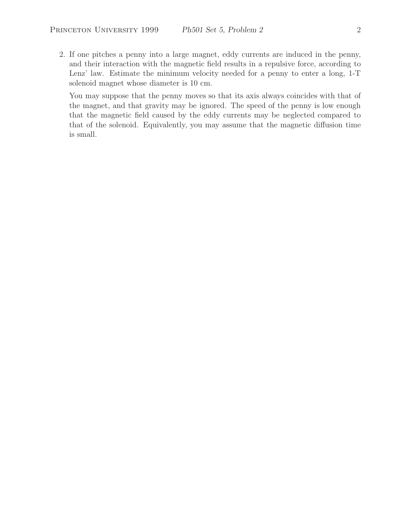2. If one pitches a penny into a large magnet, eddy currents are induced in the penny, and their interaction with the magnetic field results in a repulsive force, according to Lenz' law. Estimate the minimum velocity needed for a penny to enter a long, 1-T solenoid magnet whose diameter is 10 cm.

You may suppose that the penny moves so that its axis always coincides with that of the magnet, and that gravity may be ignored. The speed of the penny is low enough that the magnetic field caused by the eddy currents may be neglected compared to that of the solenoid. Equivalently, you may assume that the magnetic diffusion time is small.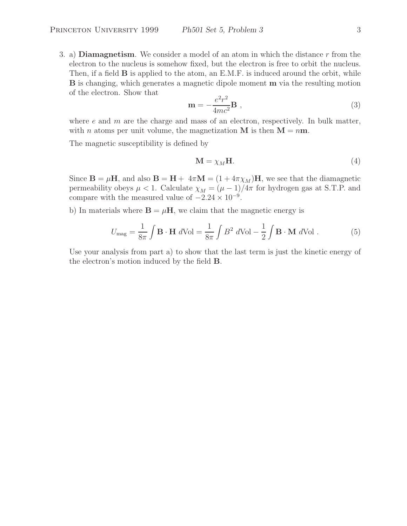3. a) **Diamagnetism**. We consider a model of an atom in which the distance r from the electron to the nucleus is somehow fixed, but the electron is free to orbit the nucleus. Then, if a field **B** is applied to the atom, an E.M.F. is induced around the orbit, while **B** is changing, which generates a magnetic dipole moment **m** via the resulting motion of the electron. Show that

$$
\mathbf{m} = -\frac{e^2 r^2}{4mc^2} \mathbf{B} \tag{3}
$$

where  $e$  and  $m$  are the charge and mass of an electron, respectively. In bulk matter, with *n* atoms per unit volume, the magnetization **M** is then  $M = nm$ .

The magnetic susceptibility is defined by

$$
\mathbf{M} = \chi_M \mathbf{H}.\tag{4}
$$

Since  $\mathbf{B} = \mu \mathbf{H}$ , and also  $\mathbf{B} = \mathbf{H} + 4\pi \mathbf{M} = (1 + 4\pi \chi_M) \mathbf{H}$ , we see that the diamagnetic permeability obeys  $\mu < 1$ . Calculate  $\chi_M = (\mu - 1)/4\pi$  for hydrogen gas at S.T.P. and compare with the measured value of  $-2.24 \times 10^{-9}$ .

b) In materials where  $\mathbf{B} = \mu \mathbf{H}$ , we claim that the magnetic energy is

$$
U_{\text{mag}} = \frac{1}{8\pi} \int \mathbf{B} \cdot \mathbf{H} \ d\text{Vol} = \frac{1}{8\pi} \int B^2 \ d\text{Vol} - \frac{1}{2} \int \mathbf{B} \cdot \mathbf{M} \ d\text{Vol} \ . \tag{5}
$$

Use your analysis from part a) to show that the last term is just the kinetic energy of the electron's motion induced by the field **B**.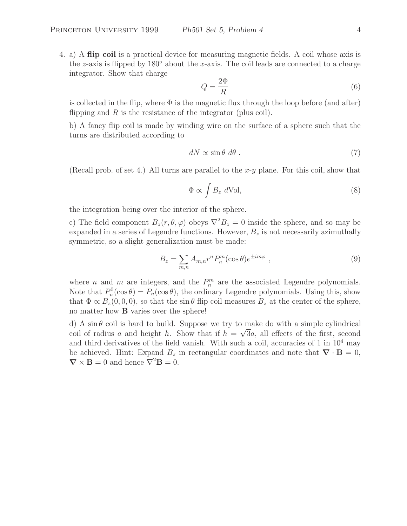4. a) A **flip coil** is a practical device for measuring magnetic fields. A coil whose axis is the z-axis is flipped by 180 $\degree$  about the x-axis. The coil leads are connected to a charge integrator. Show that charge

$$
Q = \frac{2\Phi}{R} \tag{6}
$$

is collected in the flip, where  $\Phi$  is the magnetic flux through the loop before (and after) flipping and  $R$  is the resistance of the integrator (plus coil).

b) A fancy flip coil is made by winding wire on the surface of a sphere such that the turns are distributed according to

$$
dN \propto \sin \theta \ d\theta \ . \tag{7}
$$

(Recall prob. of set 4.) All turns are parallel to the  $x-y$  plane. For this coil, show that

$$
\Phi \propto \int B_z \ d\text{Vol},\tag{8}
$$

the integration being over the interior of the sphere.

c) The field component  $B_z(r, \theta, \varphi)$  obeys  $\nabla^2 B_z = 0$  inside the sphere, and so may be expanded in a series of Legendre functions. However,  $B<sub>z</sub>$  is not necessarily azimuthally symmetric, so a slight generalization must be made:

$$
B_z = \sum_{m,n} A_{m,n} r^n P_n^m(\cos \theta) e^{\pm im\varphi} \tag{9}
$$

where *n* and *m* are integers, and the  $P_n^m$  are the associated Legendre polynomials. Note that  $P_n^0(\cos \theta) = P_n(\cos \theta)$ , the ordinary Legendre polynomials. Using this, show that  $\Phi \propto B_z(0, 0, 0)$ , so that the sin  $\theta$  flip coil measures  $B_z$  at the center of the sphere, no matter how **B** varies over the sphere!

d) A sin  $\theta$  coil is hard to build. Suppose we try to make do with a simple cylindrical coil of radius a and height h. Show that if  $h = \sqrt{3}a$ , all effects of the first, second and third derivatives of the field vanish. With such a coil, accuracies of 1 in  $10^4$  may be achieved. Hint: Expand  $B_z$  in rectangular coordinates and note that  $\nabla \cdot \mathbf{B} = 0$ ,  $\nabla \times \mathbf{B} = 0$  and hence  $\nabla^2 \mathbf{B} = 0$ .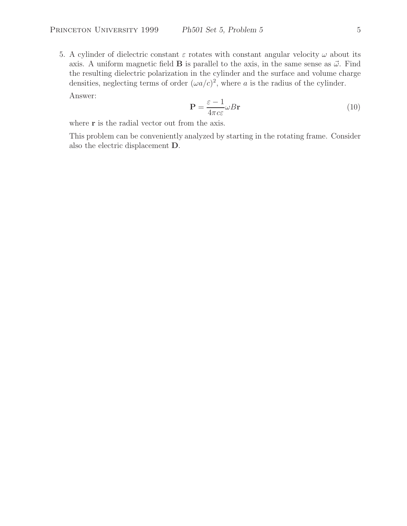5. A cylinder of dielectric constant  $\varepsilon$  rotates with constant angular velocity  $\omega$  about its axis. A uniform magnetic field **B** is parallel to the axis, in the same sense as  $\vec{\omega}$ . Find the resulting dielectric polarization in the cylinder and the surface and volume charge densities, neglecting terms of order  $(\omega a/c)^2$ , where a is the radius of the cylinder.

Answer:

$$
\mathbf{P} = \frac{\varepsilon - 1}{4\pi c \varepsilon} \omega B \mathbf{r}
$$
 (10)

where **r** is the radial vector out from the axis.

This problem can be conveniently analyzed by starting in the rotating frame. Consider also the electric displacement **D**.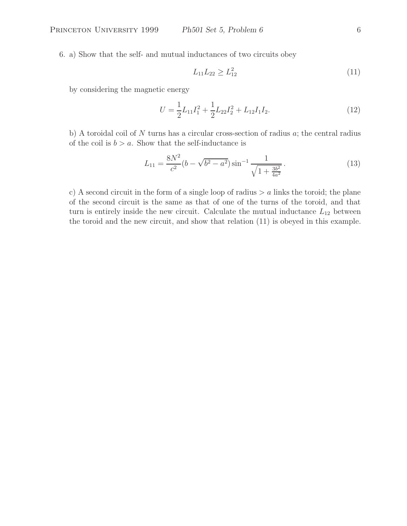6. a) Show that the self- and mutual inductances of two circuits obey

$$
L_{11}L_{22} \ge L_{12}^2 \tag{11}
$$

by considering the magnetic energy

$$
U = \frac{1}{2}L_{11}I_1^2 + \frac{1}{2}L_{22}I_2^2 + L_{12}I_1I_2.
$$
 (12)

b) A toroidal coil of N turns has a circular cross-section of radius  $a$ ; the central radius of the coil is  $b > a$ . Show that the self-inductance is

$$
L_{11} = \frac{8N^2}{c^2} (b - \sqrt{b^2 - a^2}) \sin^{-1} \frac{1}{\sqrt{1 + \frac{3b^2}{4a^2}}}.
$$
\n(13)

c) A second circuit in the form of a single loop of radius  $>a$  links the toroid; the plane of the second circuit is the same as that of one of the turns of the toroid, and that turn is entirely inside the new circuit. Calculate the mutual inductance  $L_{12}$  between the toroid and the new circuit, and show that relation (11) is obeyed in this example.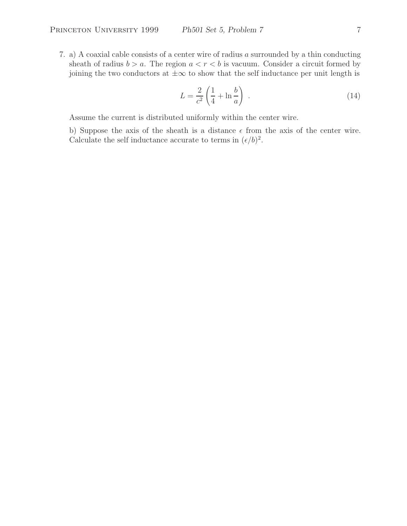7. a) A coaxial cable consists of a center wire of radius a surrounded by a thin conducting sheath of radius  $b > a$ . The region  $a < r < b$  is vacuum. Consider a circuit formed by joining the two conductors at  $\pm\infty$  to show that the self inductance per unit length is

$$
L = \frac{2}{c^2} \left( \frac{1}{4} + \ln \frac{b}{a} \right) \tag{14}
$$

Assume the current is distributed uniformly within the center wire.

b) Suppose the axis of the sheath is a distance  $\epsilon$  from the axis of the center wire. Calculate the self inductance accurate to terms in  $(\epsilon/b)^2$ .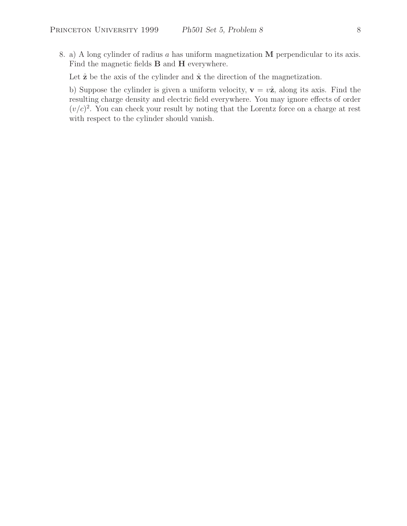8. a) A long cylinder of radius a has uniform magnetization **M** perpendicular to its axis. Find the magnetic fields **B** and **H** everywhere.

Let  $\hat{z}$  be the axis of the cylinder and  $\hat{x}$  the direction of the magnetization.

b) Suppose the cylinder is given a uniform velocity,  $\mathbf{v} = v\hat{\mathbf{z}}$ , along its axis. Find the resulting charge density and electric field everywhere. You may ignore effects of order  $(v/c)^2$ . You can check your result by noting that the Lorentz force on a charge at rest with respect to the cylinder should vanish.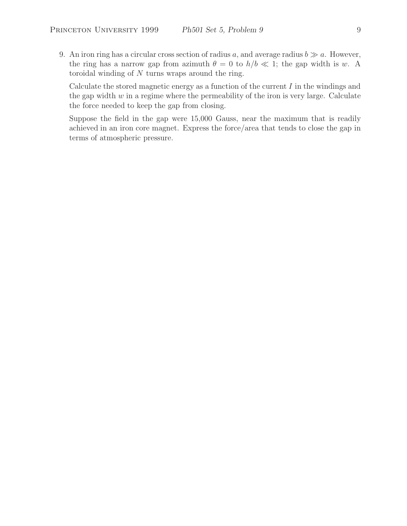9. An iron ring has a circular cross section of radius a, and average radius  $b \gg a$ . However, the ring has a narrow gap from azimuth  $\theta = 0$  to  $h/b \ll 1$ ; the gap width is w. A toroidal winding of  $N$  turns wraps around the ring.

Calculate the stored magnetic energy as a function of the current  $I$  in the windings and the gap width  $w$  in a regime where the permeability of the iron is very large. Calculate the force needed to keep the gap from closing.

Suppose the field in the gap were 15,000 Gauss, near the maximum that is readily achieved in an iron core magnet. Express the force/area that tends to close the gap in terms of atmospheric pressure.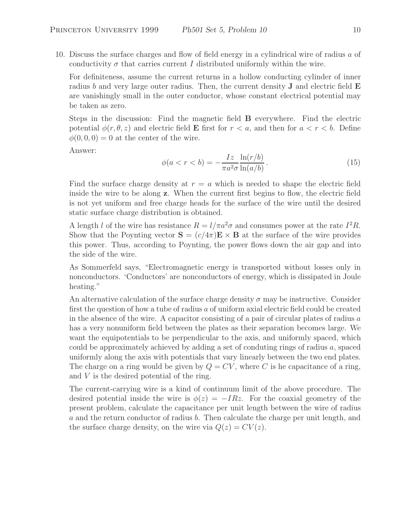10. Discuss the surface charges and flow of field energy in a cylindrical wire of radius a of conductivity  $\sigma$  that carries current I distributed uniformly within the wire.

For definiteness, assume the current returns in a hollow conducting cylinder of inner radius b and very large outer radius. Then, the current density **J** and electric field **E** are vanishingly small in the outer conductor, whose constant electrical potential may be taken as zero.

Steps in the discussion: Find the magnetic field **B** everywhere. Find the electric potential  $\phi(r, \theta, z)$  and electric field **E** first for  $r < a$ , and then for  $a < r < b$ . Define  $\phi(0,0,0) = 0$  at the center of the wire.

Answer:

$$
\phi(a < r < b) = -\frac{Iz}{\pi a^2 \sigma} \frac{\ln(r/b)}{\ln(a/b)}.
$$
\n(15)

Find the surface charge density at  $r = a$  which is needed to shape the electric field inside the wire to be along **z**. When the current first begins to flow, the electric field is not yet uniform and free charge heads for the surface of the wire until the desired static surface charge distribution is obtained.

A length l of the wire has resistance  $R = l/\pi a^2 \sigma$  and consumes power at the rate  $I^2 R$ . Show that the Poynting vector  $S = (c/4\pi)E \times B$  at the surface of the wire provides this power. Thus, according to Poynting, the power flows down the air gap and into the side of the wire.

As Sommerfeld says, "Electromagnetic energy is transported without losses only in nonconductors. 'Conductors' are nonconductors of energy, which is dissipated in Joule heating."

An alternative calculation of the surface charge density  $\sigma$  may be instructive. Consider first the question of how a tube of radius a of uniform axial electric field could be created in the absence of the wire. A capacitor consisting of a pair of circular plates of radius  $a$ has a very nonuniform field between the plates as their separation becomes large. We want the equipotentials to be perpendicular to the axis, and uniformly spaced, which could be approximately achieved by adding a set of conduting rings of radius  $a$ , spaced uniformly along the axis with potentials that vary linearly between the two end plates. The charge on a ring would be given by  $Q = CV$ , where C is he capacitance of a ring, and V is the desired potential of the ring.

The current-carrying wire is a kind of continuum limit of the above procedure. The desired potential inside the wire is  $\phi(z) = -IRz$ . For the coaxial geometry of the present problem, calculate the capacitance per unit length between the wire of radius a and the return conductor of radius b. Then calculate the charge per unit length, and the surface charge density, on the wire via  $Q(z) = CV(z)$ .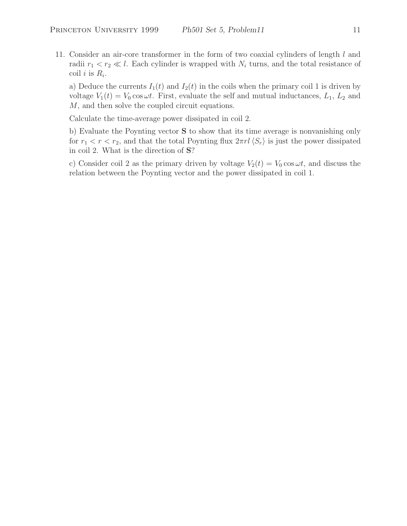11. Consider an air-core transformer in the form of two coaxial cylinders of length l and radii  $r_1 < r_2 \ll l$ . Each cylinder is wrapped with  $N_i$  turns, and the total resistance of coil *i* is  $R_i$ .

a) Deduce the currents  $I_1(t)$  and  $I_2(t)$  in the coils when the primary coil 1 is driven by voltage  $V_1(t) = V_0 \cos \omega t$ . First, evaluate the self and mutual inductances,  $L_1, L_2$  and M, and then solve the coupled circuit equations.

Calculate the time-average power dissipated in coil 2.

b) Evaluate the Poynting vector **S** to show that its time average is nonvanishing only for  $r_1 < r < r_2$ , and that the total Poynting flux  $2\pi r l \langle S_r \rangle$  is just the power dissipated in coil 2. What is the direction of **S**?

c) Consider coil 2 as the primary driven by voltage  $V_2(t) = V_0 \cos \omega t$ , and discuss the relation between the Poynting vector and the power dissipated in coil 1.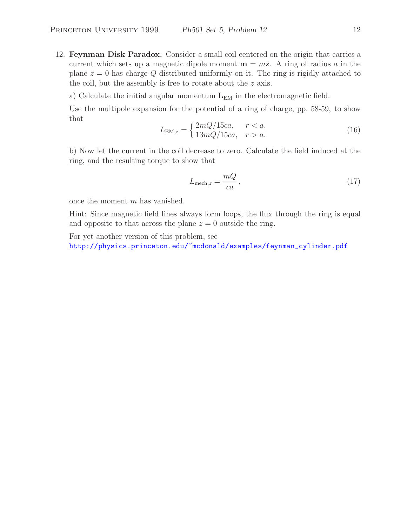12. **Feynman Disk Paradox.** Consider a small coil centered on the origin that carries a current which sets up a magnetic dipole moment  $\mathbf{m} = m\hat{\mathbf{z}}$ . A ring of radius a in the plane  $z = 0$  has charge Q distributed uniformly on it. The ring is rigidly attached to the coil, but the assembly is free to rotate about the z axis.

a) Calculate the initial angular momentum  $L_{EM}$  in the electromagnetic field.

Use the multipole expansion for the potential of a ring of charge, pp. 58-59, to show that

$$
L_{\text{EM},z} = \begin{cases} 2mQ/15ca, & r < a, \\ 13mQ/15ca, & r > a. \end{cases} \tag{16}
$$

b) Now let the current in the coil decrease to zero. Calculate the field induced at the ring, and the resulting torque to show that

$$
L_{\text{mech},z} = \frac{mQ}{ca},\tag{17}
$$

once the moment m has vanished.

Hint: Since magnetic field lines always form loops, the flux through the ring is equal and opposite to that across the plane  $z = 0$  outside the ring.

For yet another version of this problem, see

http://physics.princeton.edu/~mcdonald/examples/feynman\_cylinder.pdf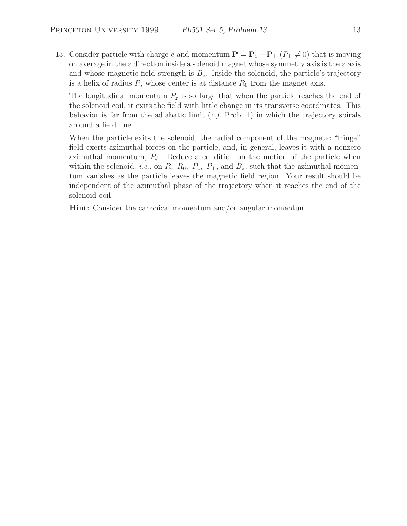13. Consider particle with charge e and momentum  $\mathbf{P} = \mathbf{P}_z + \mathbf{P}_\perp (P_\perp \neq 0)$  that is moving on average in the  $z$  direction inside a solenoid magnet whose symmetry axis is the  $z$  axis and whose magnetic field strength is  $B<sub>z</sub>$ . Inside the solenoid, the particle's trajectory is a helix of radius  $R$ , whose center is at distance  $R_0$  from the magnet axis.

The longitudinal momentum  $P_z$  is so large that when the particle reaches the end of the solenoid coil, it exits the field with little change in its transverse coordinates. This behavior is far from the adiabatic limit (*c.f.* Prob. 1) in which the trajectory spirals around a field line.

When the particle exits the solenoid, the radial component of the magnetic "fringe" field exerts azimuthal forces on the particle, and, in general, leaves it with a nonzero azimuthal momentum,  $P_{\phi}$ . Deduce a condition on the motion of the particle when within the solenoid, *i.e.*, on R,  $R_0$ ,  $P_z$ ,  $P_{\perp}$ , and  $B_z$ , such that the azimuthal momentum vanishes as the particle leaves the magnetic field region. Your result should be independent of the azimuthal phase of the trajectory when it reaches the end of the solenoid coil.

**Hint:** Consider the canonical momentum and/or angular momentum.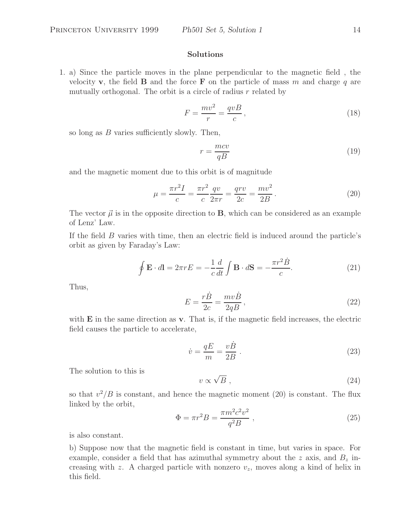## **Solutions**

1. a) Since the particle moves in the plane perpendicular to the magnetic field , the velocity **v**, the field **B** and the force **F** on the particle of mass m and charge q are mutually orthogonal. The orbit is a circle of radius  $r$  related by

$$
F = \frac{mv^2}{r} = \frac{qvB}{c},\tag{18}
$$

so long as  $B$  varies sufficiently slowly. Then,

$$
r = \frac{mcv}{qB} \tag{19}
$$

and the magnetic moment due to this orbit is of magnitude

$$
\mu = \frac{\pi r^2 I}{c} = \frac{\pi r^2}{c} \frac{qv}{2\pi r} = \frac{qvv}{2c} = \frac{mv^2}{2B}.
$$
\n(20)

The vector  $\vec{\mu}$  is in the opposite direction to **B**, which can be considered as an example of Lenz' Law.

If the field B varies with time, then an electric field is induced around the particle's orbit as given by Faraday's Law:

$$
\oint \mathbf{E} \cdot d\mathbf{l} = 2\pi r E = -\frac{1}{c} \frac{d}{dt} \int \mathbf{B} \cdot d\mathbf{S} = -\frac{\pi r^2 \dot{B}}{c}.
$$
\n(21)

Thus,

$$
E = \frac{r\dot{B}}{2c} = \frac{mv\dot{B}}{2qB},\qquad(22)
$$

with **E** in the same direction as **v**. That is, if the magnetic field increases, the electric field causes the particle to accelerate,

$$
\dot{v} = \frac{qE}{m} = \frac{v\dot{B}}{2B} \tag{23}
$$

The solution to this is

$$
v \propto \sqrt{B} \; , \tag{24}
$$

so that  $v^2/B$  is constant, and hence the magnetic moment (20) is constant. The flux linked by the orbit,

$$
\Phi = \pi r^2 B = \frac{\pi m^2 c^2 v^2}{q^2 B} \,,\tag{25}
$$

is also constant.

b) Suppose now that the magnetic field is constant in time, but varies in space. For example, consider a field that has azimuthal symmetry about the z axis, and  $B<sub>z</sub>$  increasing with z. A charged particle with nonzero  $v<sub>z</sub>$ , moves along a kind of helix in this field.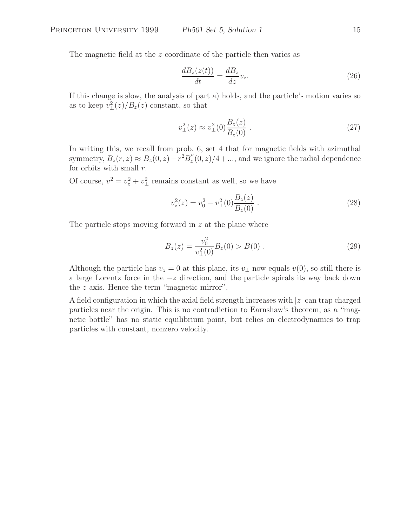The magnetic field at the z coordinate of the particle then varies as

$$
\frac{dB_z(z(t))}{dt} = \frac{dB_z}{dz}v_z.
$$
\n(26)

If this change is slow, the analysis of part a) holds, and the particle's motion varies so as to keep  $v_{\perp}^2(z)/B_z(z)$  constant, so that

$$
v_{\perp}^{2}(z) \approx v_{\perp}^{2}(0) \frac{B_{z}(z)}{B_{z}(0)} . \tag{27}
$$

In writing this, we recall from prob. 6, set 4 that for magnetic fields with azimuthal symmetry,  $B_z(r, z) \approx B_z(0, z) - r^2 B_z''(0, z)/4 + ...$ , and we ignore the radial dependence for orbits with small  $r$ .

Of course,  $v^2 = v_z^2 + v_\perp^2$  remains constant as well, so we have

$$
v_z^2(z) = v_0^2 - v_\perp^2(0) \frac{B_z(z)}{B_z(0)} . \tag{28}
$$

The particle stops moving forward in z at the plane where

$$
B_z(z) = \frac{v_0^2}{v_\perp^2(0)} B_z(0) > B(0) . \tag{29}
$$

Although the particle has  $v_z = 0$  at this plane, its  $v_\perp$  now equals  $v(0)$ , so still there is a large Lorentz force in the −z direction, and the particle spirals its way back down the z axis. Hence the term "magnetic mirror".

A field configuration in which the axial field strength increases with  $|z|$  can trap charged particles near the origin. This is no contradiction to Earnshaw's theorem, as a "magnetic bottle" has no static equilibrium point, but relies on electrodynamics to trap particles with constant, nonzero velocity.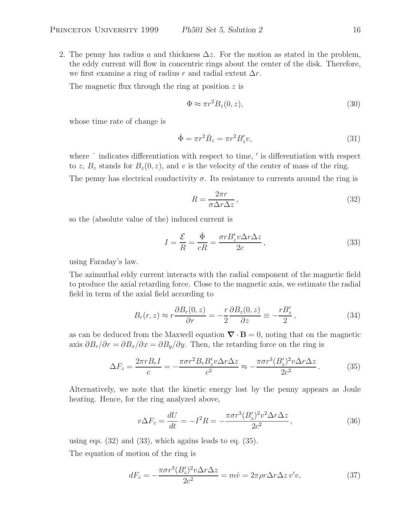2. The penny has radius a and thickness  $\Delta z$ . For the motion as stated in the problem, the eddy current will flow in concentric rings about the center of the disk. Therefore, we first examine a ring of radius r and radial extent  $\Delta r$ .

The magnetic flux through the ring at position z is

$$
\Phi \approx \pi r^2 B_z(0, z),\tag{30}
$$

whose time rate of change is

$$
\dot{\Phi} = \pi r^2 \dot{B}_z = \pi r^2 B'_z v,\tag{31}
$$

where  $\dot{\phantom{a}}$  indicates differentiation with respect to time,  $\dot{\phantom{a}}$  is differentiation with respect to z,  $B_z$  stands for  $B_z(0, z)$ , and v is the velocity of the center of mass of the ring.

The penny has electrical conductivity  $\sigma$ . Its resistance to currents around the ring is

$$
R = \frac{2\pi r}{\sigma \Delta r \Delta z},\tag{32}
$$

so the (absolute value of the) induced current is

$$
I = \frac{\mathcal{E}}{R} = \frac{\dot{\Phi}}{cR} = \frac{\sigma r B_z' v \Delta r \Delta z}{2c},\qquad(33)
$$

using Faraday's law.

The azimuthal eddy current interacts with the radial component of the magnetic field to produce the axial retarding force. Close to the magnetic axis, we estimate the radial field in term of the axial field according to

$$
B_r(r,z) \approx r \frac{\partial B_r(0,z)}{\partial r} = -\frac{r}{2} \frac{\partial B_z(0,z)}{\partial z} \equiv -\frac{r B'_z}{2},\qquad(34)
$$

as can be deduced from the Maxwell equation  $\nabla \cdot \mathbf{B} = 0$ , noting that on the magnetic axis  $\partial B_r/\partial r = \partial B_x/\partial x = \partial B_y/\partial y$ . Then, the retarding force on the ring is

$$
\Delta F_z = \frac{2\pi r B_r I}{c} = -\frac{\pi \sigma r^2 B_r B_z' v \Delta r \Delta z}{c^2} \approx -\frac{\pi \sigma r^3 (B_z')^2 v \Delta r \Delta z}{2c^2} \,. \tag{35}
$$

Alternatively, we note that the kinetic energy lost by the penny appears as Joule heating. Hence, for the ring analyzed above,

$$
v\Delta F_z = \frac{dU}{dt} = -I^2 R = -\frac{\pi \sigma r^3 (B_z')^2 v^2 \Delta r \Delta z}{2c^2},
$$
\n(36)

using eqs.  $(32)$  and  $(33)$ , which agains leads to eq.  $(35)$ .

The equation of motion of the ring is

$$
dF_z = -\frac{\pi \sigma r^3 (B_z')^2 v \Delta r \Delta z}{2c^2} = m\dot{v} = 2\pi \rho r \Delta r \Delta z v'v,\tag{37}
$$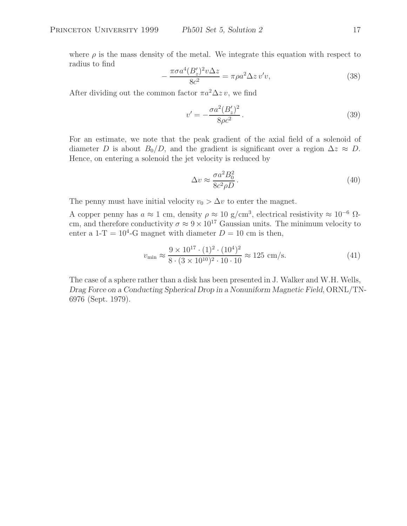where  $\rho$  is the mass density of the metal. We integrate this equation with respect to radius to find

$$
-\frac{\pi\sigma a^4 (B_z')^2 v \Delta z}{8c^2} = \pi\rho a^2 \Delta z v'v,\tag{38}
$$

After dividing out the common factor  $\pi a^2 \Delta z v$ , we find

$$
v' = -\frac{\sigma a^2 (B_z')^2}{8\rho c^2}.
$$
\n(39)

For an estimate, we note that the peak gradient of the axial field of a solenoid of diameter D is about  $B_0/D$ , and the gradient is significant over a region  $\Delta z \approx D$ . Hence, on entering a solenoid the jet velocity is reduced by

$$
\Delta v \approx \frac{\sigma a^2 B_0^2}{8c^2 \rho D}.
$$
\n(40)

The penny must have initial velocity  $v_0 > \Delta v$  to enter the magnet.

A copper penny has  $a \approx 1$  cm, density  $\rho \approx 10 \text{ g/cm}^3$ , electrical resistivity  $\approx 10^{-6}$  Ωcm, and therefore conductivity  $\sigma \approx 9 \times 10^{17}$  Gaussian units. The minimum velocity to enter a 1-T =  $10^4$ -G magnet with diameter  $D = 10$  cm is then,

$$
v_{\min} \approx \frac{9 \times 10^{17} \cdot (1)^2 \cdot (10^4)^2}{8 \cdot (3 \times 10^{10})^2 \cdot 10 \cdot 10} \approx 125 \text{ cm/s.}
$$
 (41)

The case of a sphere rather than a disk has been presented in J. Walker and W.H. Wells, *Drag Force on a Conducting Spherical Drop in a Nonuniform Magnetic Field*, ORNL/TN-6976 (Sept. 1979).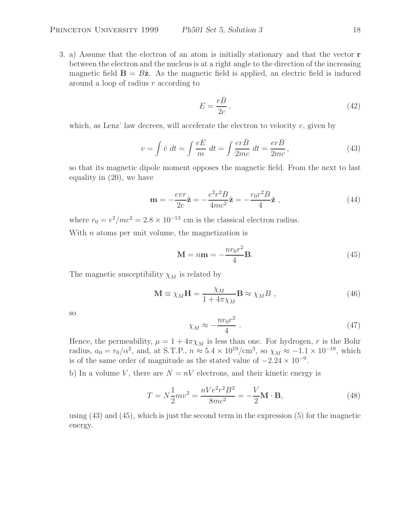3. a) Assume that the electron of an atom is initially stationary and that the vector **r** between the electron and the nucleus is at a right angle to the direction of the increasing magnetic field  $\mathbf{B} = B\hat{\mathbf{z}}$ . As the magnetic field is applied, an electric field is induced around a loop of radius r according to

$$
E = \frac{r\dot{B}}{2c},\tag{42}
$$

which, as Lenz' law decrees, will accelerate the electron to velocity  $v$ , given by

$$
v = \int \dot{v} \, dt = \int \frac{eE}{m} \, dt = \int \frac{er\dot{B}}{2mc} \, dt = \frac{erB}{2mc},\tag{43}
$$

so that its magnetic dipole moment opposes the magnetic field. From the next to last equality in (20), we have

$$
\mathbf{m} = -\frac{evr}{2c}\hat{\mathbf{z}} = -\frac{e^2r^2B}{4mc^2}\hat{\mathbf{z}} = -\frac{r_0r^2B}{4}\hat{\mathbf{z}}\,,\tag{44}
$$

where  $r_0 = e^2/mc^2 = 2.8 \times 10^{-13}$  cm is the classical electron radius.

With  $n$  atoms per unit volume, the magnetization is

$$
\mathbf{M} = n\mathbf{m} = -\frac{nr_0r^2}{4}\mathbf{B}.
$$
 (45)

The magnetic susceptibility  $\chi_M$  is related by

$$
\mathbf{M} \equiv \chi_M \mathbf{H} = \frac{\chi_M}{1 + 4\pi \chi_M} \mathbf{B} \approx \chi_M B \;, \tag{46}
$$

so

$$
\chi_M \approx -\frac{n r_0 r^2}{4} \ . \tag{47}
$$

Hence, the permeability,  $\mu = 1 + 4\pi \chi_M$  is less than one. For hydrogen, r is the Bohr radius,  $a_0 = r_0/\alpha^2$ , and, at S.T.P.,  $n \approx 5.4 \times 10^{19}/\text{cm}^3$ , so  $\chi_M \approx -1.1 \times 10^{-10}$ , which is of the same order of magnitude as the stated value of  $-2.24 \times 10^{-9}$ .

b) In a volume V, there are  $N = nV$  electrons, and their kinetic energy is

$$
T = N\frac{1}{2}mv^2 = \frac{nVe^2r^2B^2}{8mc^2} = -\frac{V}{2}\mathbf{M}\cdot\mathbf{B},\qquad(48)
$$

using (43) and (45), which is just the second term in the expression (5) for the magnetic energy.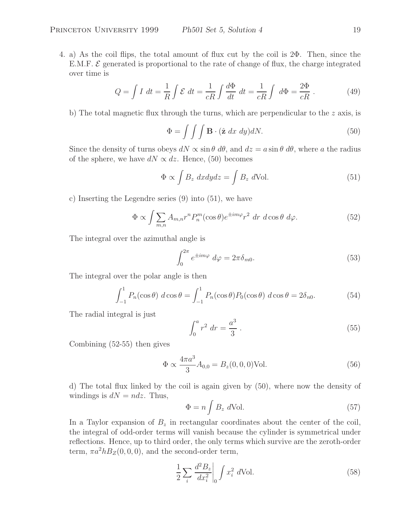4. a) As the coil flips, the total amount of flux cut by the coil is 2Φ. Then, since the E.M.F.  $\mathcal E$  generated is proportional to the rate of change of flux, the charge integrated over time is

$$
Q = \int I \, dt = \frac{1}{R} \int \mathcal{E} \, dt = \frac{1}{cR} \int \frac{d\Phi}{dt} \, dt = \frac{1}{cR} \int \, d\Phi = \frac{2\Phi}{cR} \,. \tag{49}
$$

b) The total magnetic flux through the turns, which are perpendicular to the  $z$  axis, is

$$
\Phi = \int \int \int \mathbf{B} \cdot (\hat{\mathbf{z}} \, dx \, dy) dN. \tag{50}
$$

Since the density of turns obeys  $dN \propto \sin \theta \ d\theta$ , and  $dz = a \sin \theta \ d\theta$ , where a the radius of the sphere, we have  $dN \propto dz$ . Hence, (50) becomes

$$
\Phi \propto \int B_z \ dx dy dz = \int B_z \ d\text{Vol}.
$$
\n(51)

c) Inserting the Legendre series (9) into (51), we have

$$
\Phi \propto \int \sum_{m,n} A_{m,n} r^n P_n^m(\cos \theta) e^{\pm im\varphi} r^2 \, dr \, d\cos \theta \, d\varphi. \tag{52}
$$

The integral over the azimuthal angle is

$$
\int_0^{2\pi} e^{\pm im\varphi} d\varphi = 2\pi \delta_{m0}.
$$
 (53)

The integral over the polar angle is then

$$
\int_{-1}^{1} P_n(\cos \theta) d\cos \theta = \int_{-1}^{1} P_n(\cos \theta) P_0(\cos \theta) d\cos \theta = 2\delta_{n0}.
$$
 (54)

The radial integral is just

$$
\int_0^a r^2 dr = \frac{a^3}{3} \,. \tag{55}
$$

Combining (52-55) then gives

$$
\Phi \propto \frac{4\pi a^3}{3} A_{0,0} = B_z(0,0,0) \text{Vol.}
$$
\n(56)

d) The total flux linked by the coil is again given by (50), where now the density of windings is  $dN = ndz$ . Thus,

$$
\Phi = n \int B_z \ d\text{Vol}.
$$
\n(57)

In a Taylor expansion of  $B<sub>z</sub>$  in rectangular coordinates about the center of the coil, the integral of odd-order terms will vanish because the cylinder is symmetrical under reflections. Hence, up to third order, the only terms which survive are the zeroth-order term,  $\pi a^2 h B_Z(0, 0, 0)$ , and the second-order term,

$$
\frac{1}{2} \sum_{i} \frac{d^2 B_z}{dx_i^2} \bigg|_0 \int x_i^2 \ d\text{Vol.} \tag{58}
$$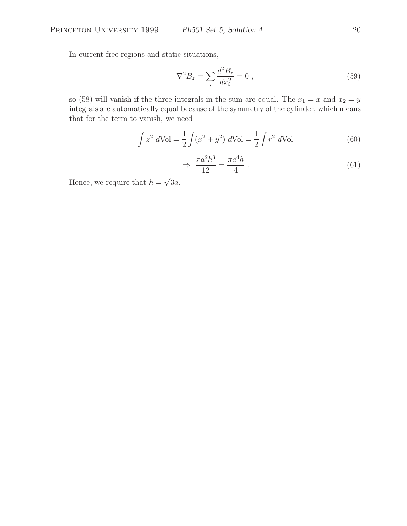In current-free regions and static situations,

$$
\nabla^2 B_z = \sum_i \frac{d^2 B_z}{dx_i^2} = 0 \tag{59}
$$

so (58) will vanish if the three integrals in the sum are equal. The  $x_1 = x$  and  $x_2 = y$ integrals are automatically equal because of the symmetry of the cylinder, which means that for the term to vanish, we need

$$
\int z^2 dVol = \frac{1}{2} \int (x^2 + y^2) dVol = \frac{1}{2} \int r^2 dVol
$$
 (60)

$$
\Rightarrow \frac{\pi a^2 h^3}{12} = \frac{\pi a^4 h}{4} \ . \tag{61}
$$

Hence, we require that  $h = \sqrt{3}a$ .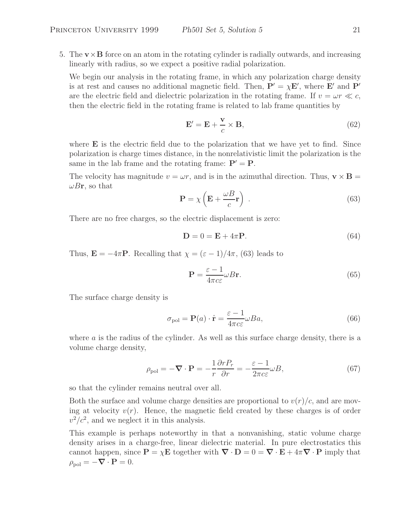5. The  $\mathbf{v} \times \mathbf{B}$  force on an atom in the rotating cylinder is radially outwards, and increasing linearly with radius, so we expect a positive radial polarization.

We begin our analysis in the rotating frame, in which any polarization charge density is at rest and causes no additional magnetic field. Then,  $P' = \chi E'$ , where  $E'$  and  $P'$ are the electric field and dielectric polarization in the rotating frame. If  $v = \omega r \ll c$ , then the electric field in the rotating frame is related to lab frame quantities by

$$
\mathbf{E}' = \mathbf{E} + \frac{\mathbf{v}}{c} \times \mathbf{B},\tag{62}
$$

where **E** is the electric field due to the polarization that we have yet to find. Since polarization is charge times distance, in the nonrelativistic limit the polarization is the same in the lab frame and the rotating frame:  $P' = P$ .

The velocity has magnitude  $v = \omega r$ , and is in the azimuthal direction. Thus,  $\mathbf{v} \times \mathbf{B} =$  $\omega B$ **r**, so that

$$
\mathbf{P} = \chi \left( \mathbf{E} + \frac{\omega B}{c} \mathbf{r} \right) . \tag{63}
$$

There are no free charges, so the electric displacement is zero:

$$
\mathbf{D} = 0 = \mathbf{E} + 4\pi \mathbf{P}.\tag{64}
$$

Thus,  $\mathbf{E} = -4\pi \mathbf{P}$ . Recalling that  $\chi = (\varepsilon - 1)/4\pi$ , (63) leads to

$$
\mathbf{P} = \frac{\varepsilon - 1}{4\pi c \varepsilon} \omega B \mathbf{r}.\tag{65}
$$

The surface charge density is

$$
\sigma_{\text{pol}} = \mathbf{P}(a) \cdot \hat{\mathbf{r}} = \frac{\varepsilon - 1}{4\pi c \varepsilon} \omega B a,\tag{66}
$$

where  $\alpha$  is the radius of the cylinder. As well as this surface charge density, there is a volume charge density,

$$
\rho_{\text{pol}} = -\nabla \cdot \mathbf{P} = -\frac{1}{r} \frac{\partial r P_r}{\partial r} = -\frac{\varepsilon - 1}{2\pi c \varepsilon} \omega B,\tag{67}
$$

so that the cylinder remains neutral over all.

Both the surface and volume charge densities are proportional to  $v(r)/c$ , and are moving at velocity  $v(r)$ . Hence, the magnetic field created by these charges is of order  $v^2/c^2$ , and we neglect it in this analysis.

This example is perhaps noteworthy in that a nonvanishing, static volume charge density arises in a charge-free, linear dielectric material. In pure electrostatics this cannot happen, since  $P = \chi E$  together with  $\nabla \cdot D = 0 = \nabla \cdot E + 4\pi \nabla \cdot P$  imply that  $\rho_{pol} = -\nabla \cdot \mathbf{P} = 0.$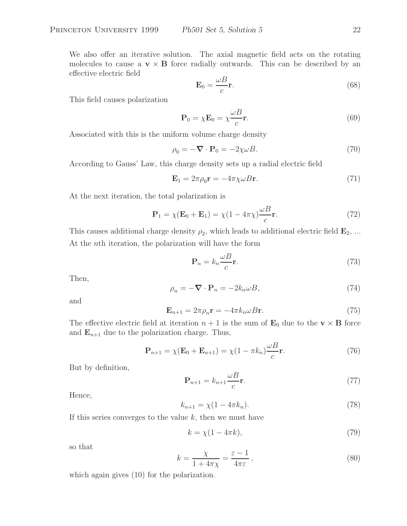We also offer an iterative solution. The axial magnetic field acts on the rotating molecules to cause a  $\mathbf{v} \times \mathbf{B}$  force radially outwards. This can be described by an effective electric field

$$
\mathbf{E}_0 = \frac{\omega B}{c} \mathbf{r}.\tag{68}
$$

This field causes polarization

$$
\mathbf{P}_0 = \chi \mathbf{E}_0 = \chi \frac{\omega B}{c} \mathbf{r}.\tag{69}
$$

Associated with this is the uniform volume charge density

$$
\rho_0 = -\nabla \cdot \mathbf{P}_0 = -2\chi \omega B. \tag{70}
$$

According to Gauss' Law, this charge density sets up a radial electric field

$$
\mathbf{E}_1 = 2\pi \rho_0 \mathbf{r} = -4\pi \chi \omega B \mathbf{r}.\tag{71}
$$

At the next iteration, the total polarization is

$$
\mathbf{P}_1 = \chi(\mathbf{E}_0 + \mathbf{E}_1) = \chi(1 - 4\pi\chi)\frac{\omega B}{c}\mathbf{r}.\tag{72}
$$

This causes additional charge density  $\rho_2$ , which leads to additional electric field  $\mathbf{E}_2$ , ... At the nth iteration, the polarization will have the form

$$
\mathbf{P}_n = k_n \frac{\omega B}{c} \mathbf{r}.\tag{73}
$$

Then,

$$
\rho_n = -\nabla \cdot \mathbf{P}_n = -2k_n \omega B,\tag{74}
$$

and

$$
\mathbf{E}_{n+1} = 2\pi \rho_n \mathbf{r} = -4\pi k_n \omega B \mathbf{r}.
$$
 (75)

The effective electric field at iteration  $n + 1$  is the sum of  $\mathbf{E}_0$  due to the  $\mathbf{v} \times \mathbf{B}$  force and  $\mathbf{E}_{n+1}$  due to the polarization charge. Thus,

$$
\mathbf{P}_{n+1} = \chi(\mathbf{E}_0 + \mathbf{E}_{n+1}) = \chi(1 - \pi k_n) \frac{\omega B}{c} \mathbf{r}.
$$
 (76)

But by definition,

$$
\mathbf{P}_{n+1} = k_{n+1} \frac{\omega B}{c} \mathbf{r}.\tag{77}
$$

Hence,

$$
k_{n+1} = \chi(1 - 4\pi k_n). \tag{78}
$$

If this series converges to the value  $k$ , then we must have

$$
k = \chi(1 - 4\pi k),\tag{79}
$$

so that

$$
k = \frac{\chi}{1 + 4\pi\chi} = \frac{\varepsilon - 1}{4\pi\varepsilon},\tag{80}
$$

which again gives  $(10)$  for the polarization.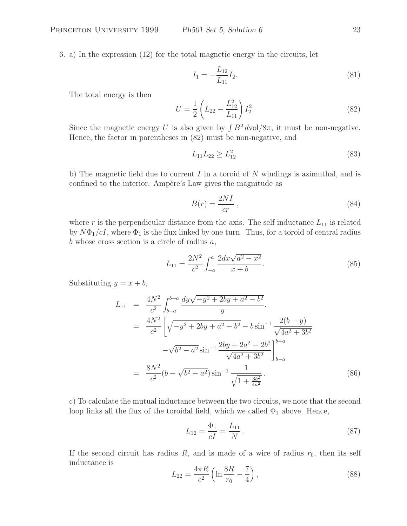6. a) In the expression (12) for the total magnetic energy in the circuits, let

$$
I_1 = -\frac{L_{12}}{L_{11}} I_2. \tag{81}
$$

The total energy is then

$$
U = \frac{1}{2} \left( L_{22} - \frac{L_{12}^2}{L_{11}} \right) I_2^2.
$$
 (82)

Since the magnetic energy U is also given by  $\int B^2 dvol/8\pi$ , it must be non-negative. Hence, the factor in parentheses in (82) must be non-negative, and

$$
L_{11}L_{22} \ge L_{12}^2. \tag{83}
$$

b) The magnetic field due to current I in a toroid of N windings is azimuthal, and is confined to the interior. Ampère's Law gives the magnitude as

$$
B(r) = \frac{2NI}{cr} \t{,} \t(84)
$$

where r is the perpendicular distance from the axis. The self inductance  $L_{11}$  is related by  $N\Phi_1/cI$ , where  $\Phi_1$  is the flux linked by one turn. Thus, for a toroid of central radius b whose cross section is a circle of radius  $a$ ,

$$
L_{11} = \frac{2N^2}{c^2} \int_{-a}^{a} \frac{2dx\sqrt{a^2 - x^2}}{x + b}.
$$
 (85)

Substituting  $y = x + b$ ,

$$
L_{11} = \frac{4N^2}{c^2} \int_{b-a}^{b+a} \frac{dy\sqrt{-y^2 + 2by + a^2 - b^2}}{y}.
$$
  
\n
$$
= \frac{4N^2}{c^2} \left[ \sqrt{-y^2 + 2by + a^2 - b^2} - b\sin^{-1} \frac{2(b-y)}{\sqrt{4a^2 + 3b^2}} -\sqrt{b^2 - a^2}\sin^{-1} \frac{2by + 2a^2 - 2b^2}{\sqrt{4a^2 + 3b^2}} \right]_{b-a}^{b+a}
$$
  
\n
$$
= \frac{8N^2}{c^2} (b - \sqrt{b^2 - a^2}) \sin^{-1} \frac{1}{\sqrt{1 + \frac{3b^2}{4a^2}}}.
$$
(86)

c) To calculate the mutual inductance between the two circuits, we note that the second loop links all the flux of the toroidal field, which we called  $\Phi_1$  above. Hence,

$$
L_{12} = \frac{\Phi_1}{cI} = \frac{L_{11}}{N} \,. \tag{87}
$$

If the second circuit has radius  $R$ , and is made of a wire of radius  $r_0$ , then its self inductance is

$$
L_{22} = \frac{4\pi R}{c^2} \left( \ln \frac{8R}{r_0} - \frac{7}{4} \right),\tag{88}
$$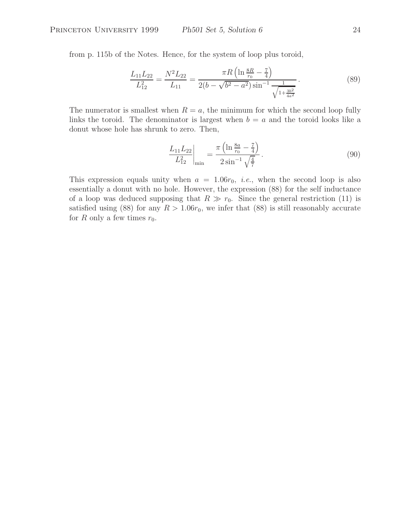from p. 115b of the Notes. Hence, for the system of loop plus toroid,

$$
\frac{L_{11}L_{22}}{L_{12}^2} = \frac{N^2 L_{22}}{L_{11}} = \frac{\pi R \left( \ln \frac{8R}{r_0} - \frac{7}{4} \right)}{2(b - \sqrt{b^2 - a^2}) \sin^{-1} \frac{1}{\sqrt{1 + \frac{3b^2}{4a^2}}}}.
$$
(89)

The numerator is smallest when  $R = a$ , the minimum for which the second loop fully links the toroid. The denominator is largest when  $b = a$  and the toroid looks like a donut whose hole has shrunk to zero. Then,

$$
\left. \frac{L_{11} L_{22}}{L_{12}^2} \right|_{\text{min}} = \frac{\pi \left( \ln \frac{8a}{r_0} - \frac{7}{4} \right)}{2 \sin^{-1} \sqrt{\frac{4}{7}}}.
$$
\n(90)

This expression equals unity when  $a = 1.06r_0$ , *i.e.*, when the second loop is also essentially a donut with no hole. However, the expression (88) for the self inductance of a loop was deduced supposing that  $R \gg r_0$ . Since the general restriction (11) is satisfied using (88) for any  $R > 1.06r_0$ , we infer that (88) is still reasonably accurate for R only a few times  $r_0$ .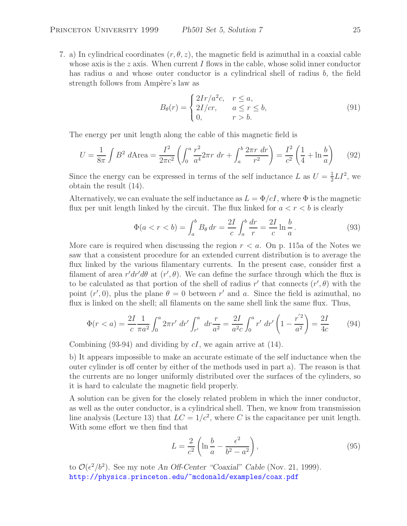7. a) In cylindrical coordinates  $(r, \theta, z)$ , the magnetic field is azimuthal in a coaxial cable whose axis is the  $z$  axis. When current I flows in the cable, whose solid inner conductor has radius a and whose outer conductor is a cylindrical shell of radius  $b$ , the field strength follows from Ampère's law as

$$
B_{\theta}(r) = \begin{cases} 2Ir/a^2c, & r \leq a, \\ 2I/cr, & a \leq r \leq b, \\ 0, & r > b. \end{cases}
$$
 (91)

The energy per unit length along the cable of this magnetic field is

$$
U = \frac{1}{8\pi} \int B^2 d\text{Area} = \frac{I^2}{2\pi c^2} \left( \int_0^a \frac{r^2}{a^4} 2\pi r \, dr + \int_a^b \frac{2\pi r \, dr}{r^2} \right) = \frac{I^2}{c^2} \left( \frac{1}{4} + \ln \frac{b}{a} \right) \tag{92}
$$

Since the energy can be expressed in terms of the self inductance L as  $U = \frac{1}{2}LI^2$ , we obtain the result (14).

Alternatively, we can evaluate the self inductance as  $L = \Phi/cI$ , where  $\Phi$  is the magnetic flux per unit length linked by the circuit. The flux linked for  $a < r < b$  is clearly

$$
\Phi(a < r < b) = \int_{a}^{b} B_{\theta} dr = \frac{2I}{c} \int_{a}^{b} \frac{dr}{r} = \frac{2I}{c} \ln \frac{b}{a}.
$$
\n(93)

More care is required when discussing the region  $r < a$ . On p. 115a of the Notes we saw that a consistent procedure for an extended current distribution is to average the flux linked by the various filamentary currents. In the present case, consider first a filament of area  $r'dr'd\theta$  at  $(r', \theta)$ . We can define the surface through which the flux is to be calculated as that portion of the shell of radius r' that connects  $(r', \theta)$  with the point  $(r', 0)$ , plus the plane  $\theta = 0$  between r' and a. Since the field is azimuthal, no flux is linked on the shell; all filaments on the same shell link the same flux. Thus,

$$
\Phi(r < a) = \frac{2I}{c} \frac{1}{\pi a^2} \int_0^a 2\pi r' \, dr' \int_{r'}^a \, dr \frac{r}{a^2} = \frac{2I}{a^2 c} \int_0^a r' \, dr' \left( 1 - \frac{r'^2}{a^2} \right) = \frac{2I}{4c} \tag{94}
$$

Combining (93-94) and dividing by  $cI$ , we again arrive at (14).

b) It appears impossible to make an accurate estimate of the self inductance when the outer cylinder is off center by either of the methods used in part a). The reason is that the currents are no longer uniformly distributed over the surfaces of the cylinders, so it is hard to calculate the magnetic field properly.

A solution can be given for the closely related problem in which the inner conductor, as well as the outer conductor, is a cylindrical shell. Then, we know from transmission line analysis (Lecture 13) that  $LC = 1/c^2$ , where C is the capacitance per unit length. With some effort we then find that

$$
L = \frac{2}{c^2} \left( \ln \frac{b}{a} - \frac{\epsilon^2}{b^2 - a^2} \right),\tag{95}
$$

to  $\mathcal{O}(\epsilon^2/b^2)$ . See my note *An Off-Center "Coaxial" Cable* (Nov. 21, 1999). http://physics.princeton.edu/~mcdonald/examples/coax.pdf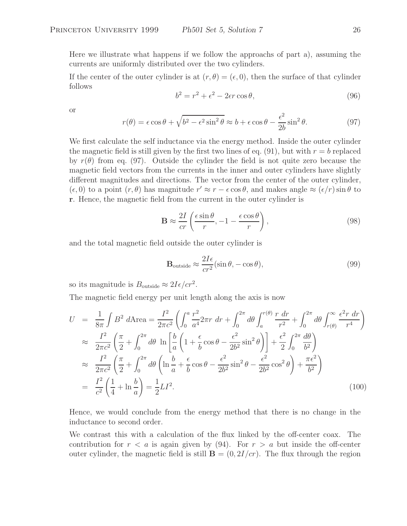Here we illustrate what happens if we follow the approachs of part a), assuming the currents are uniformly distributed over the two cylinders.

If the center of the outer cylinder is at  $(r, \theta) = (\epsilon, 0)$ , then the surface of that cylinder follows

$$
b^2 = r^2 + \epsilon^2 - 2\epsilon r \cos \theta,\tag{96}
$$

or

$$
r(\theta) = \epsilon \cos \theta + \sqrt{b^2 - \epsilon^2 \sin^2 \theta} \approx b + \epsilon \cos \theta - \frac{\epsilon^2}{2b} \sin^2 \theta.
$$
 (97)

We first calculate the self inductance via the energy method. Inside the outer cylinder the magnetic field is still given by the first two lines of eq. (91), but with  $r = b$  replaced by  $r(\theta)$  from eq. (97). Outside the cylinder the field is not quite zero because the magnetic field vectors from the currents in the inner and outer cylinders have slightly different magnitudes and directions. The vector from the center of the outer cylinder,  $(\epsilon, 0)$  to a point  $(r, \theta)$  has magnitude  $r' \approx r - \epsilon \cos \theta$ , and makes angle  $\approx (\epsilon/r) \sin \theta$  to **r**. Hence, the magnetic field from the current in the outer cylinder is

$$
\mathbf{B} \approx \frac{2I}{cr} \left( \frac{\epsilon \sin \theta}{r}, -1 - \frac{\epsilon \cos \theta}{r} \right),\tag{98}
$$

and the total magnetic field outside the outer cylinder is

$$
\mathbf{B}_{\text{outside}} \approx \frac{2I\epsilon}{cr^2} (\sin \theta, -\cos \theta),\tag{99}
$$

so its magnitude is  $B_{\text{outside}} \approx 2I\epsilon/cr^2$ .

The magnetic field energy per unit length along the axis is now

$$
U = \frac{1}{8\pi} \int B^2 d\text{Area} = \frac{I^2}{2\pi c^2} \left( \int_0^a \frac{r^2}{a^4} 2\pi r \, dr + \int_0^{2\pi} d\theta \int_a^{r(\theta)} \frac{r \, dr}{r^2} + \int_0^{2\pi} d\theta \int_{r(\theta)}^{\infty} \frac{\epsilon^2 r \, dr}{r^4} \right)
$$
  
\n
$$
\approx \frac{I^2}{2\pi c^2} \left( \frac{\pi}{2} + \int_0^{2\pi} d\theta \, \ln \left[ \frac{b}{a} \left( 1 + \frac{\epsilon}{b} \cos \theta - \frac{\epsilon^2}{2b^2} \sin^2 \theta \right) \right] + \frac{\epsilon^2}{2} \int_0^{2\pi} \frac{d\theta}{b^2} \right)
$$
  
\n
$$
\approx \frac{I^2}{2\pi c^2} \left( \frac{\pi}{2} + \int_0^{2\pi} d\theta \left( \ln \frac{b}{a} + \frac{\epsilon}{b} \cos \theta - \frac{\epsilon^2}{2b^2} \sin^2 \theta - \frac{\epsilon^2}{2b^2} \cos^2 \theta \right) + \frac{\pi \epsilon^2}{b^2} \right)
$$
  
\n
$$
= \frac{I^2}{c^2} \left( \frac{1}{4} + \ln \frac{b}{a} \right) = \frac{1}{2} L I^2.
$$
 (100)

Hence, we would conclude from the energy method that there is no change in the inductance to second order.

We contrast this with a calculation of the flux linked by the off-center coax. The contribution for  $r < a$  is again given by (94). For  $r > a$  but inside the off-center outer cylinder, the magnetic field is still  $\mathbf{B} = (0, 2I/cr)$ . The flux through the region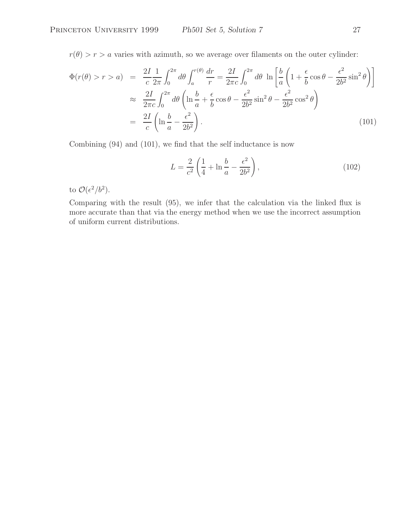$r(\theta) > r > a$  varies with azimuth, so we average over filaments on the outer cylinder:

$$
\Phi(r(\theta) > r > a) = \frac{2I}{c} \frac{1}{2\pi} \int_0^{2\pi} d\theta \int_a^{r(\theta)} \frac{dr}{r} = \frac{2I}{2\pi c} \int_0^{2\pi} d\theta \ln \left[ \frac{b}{a} \left( 1 + \frac{\epsilon}{b} \cos \theta - \frac{\epsilon^2}{2b^2} \sin^2 \theta \right) \right]
$$
  

$$
\approx \frac{2I}{2\pi c} \int_0^{2\pi} d\theta \left( \ln \frac{b}{a} + \frac{\epsilon}{b} \cos \theta - \frac{\epsilon^2}{2b^2} \sin^2 \theta - \frac{\epsilon^2}{2b^2} \cos^2 \theta \right)
$$
  

$$
= \frac{2I}{c} \left( \ln \frac{b}{a} - \frac{\epsilon^2}{2b^2} \right).
$$
 (101)

Combining (94) and (101), we find that the self inductance is now

$$
L = \frac{2}{c^2} \left( \frac{1}{4} + \ln \frac{b}{a} - \frac{\epsilon^2}{2b^2} \right),
$$
 (102)

to  $\mathcal{O}(\epsilon^2/b^2)$ .

Comparing with the result (95), we infer that the calculation via the linked flux is more accurate than that via the energy method when we use the incorrect assumption of uniform current distributions.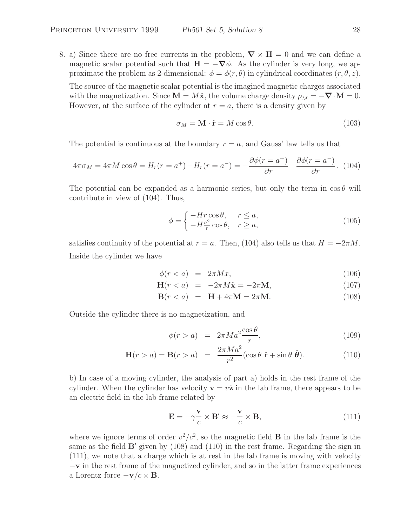8. a) Since there are no free currents in the problem,  $\nabla \times \mathbf{H} = 0$  and we can define a magnetic scalar potential such that  $\mathbf{H} = -\nabla \phi$ . As the cylinder is very long, we approximate the problem as 2-dimensional:  $\phi = \phi(r, \theta)$  in cylindrical coordinates  $(r, \theta, z)$ . The source of the magnetic scalar potential is the imagined magnetic charges associated with the magnetization. Since  $\mathbf{M} = M\hat{\mathbf{x}}$ , the volume charge density  $\rho_M = -\nabla \cdot \mathbf{M} = 0$ . However, at the surface of the cylinder at  $r = a$ , there is a density given by

$$
\sigma_M = \mathbf{M} \cdot \hat{\mathbf{r}} = M \cos \theta. \tag{103}
$$

The potential is continuous at the boundary  $r = a$ , and Gauss' law tells us that

$$
4\pi\sigma_M = 4\pi M \cos\theta = H_r(r = a^+) - H_r(r = a^-) = -\frac{\partial\phi(r = a^+)}{\partial r} + \frac{\partial\phi(r = a^-)}{\partial r}.
$$
 (104)

The potential can be expanded as a harmonic series, but only the term in  $\cos \theta$  will contribute in view of (104). Thus,

$$
\phi = \begin{cases}\n-Hr\cos\theta, & r \le a, \\
-H\frac{a^2}{r}\cos\theta, & r \ge a,\n\end{cases}
$$
\n(105)

satisfies continuity of the potential at  $r = a$ . Then, (104) also tells us that  $H = -2\pi M$ . Inside the cylinder we have

$$
\phi(r < a) = 2\pi Mx,\tag{106}
$$

$$
\mathbf{H}(r < a) = -2\pi M\hat{\mathbf{x}} = -2\pi \mathbf{M},\tag{107}
$$

$$
\mathbf{B}(r < a) = \mathbf{H} + 4\pi \mathbf{M} = 2\pi \mathbf{M}.\tag{108}
$$

Outside the cylinder there is no magnetization, and

$$
\phi(r > a) = 2\pi Ma^2 \frac{\cos \theta}{r}, \qquad (109)
$$

$$
\mathbf{H}(r > a) = \mathbf{B}(r > a) = \frac{2\pi Ma^2}{r^2} (\cos\theta \ \hat{\mathbf{r}} + \sin\theta \ \hat{\boldsymbol{\theta}}). \tag{110}
$$

b) In case of a moving cylinder, the analysis of part a) holds in the rest frame of the cylinder. When the cylinder has velocity  $\mathbf{v} = v\hat{\mathbf{z}}$  in the lab frame, there appears to be an electric field in the lab frame related by

$$
\mathbf{E} = -\gamma \frac{\mathbf{v}}{c} \times \mathbf{B}' \approx -\frac{\mathbf{v}}{c} \times \mathbf{B},\tag{111}
$$

where we ignore terms of order  $v^2/c^2$ , so the magnetic field **B** in the lab frame is the same as the field  $\mathbf{B}'$  given by  $(108)$  and  $(110)$  in the rest frame. Regarding the sign in (111), we note that a charge which is at rest in the lab frame is moving with velocity −**v** in the rest frame of the magnetized cylinder, and so in the latter frame experiences a Lorentz force  $-\mathbf{v}/c \times \mathbf{B}$ .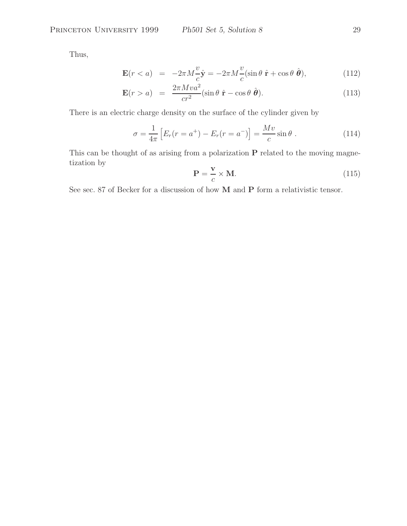Thus,

$$
\mathbf{E}(r < a) = -2\pi M \frac{v}{c} \hat{\mathbf{y}} = -2\pi M \frac{v}{c} (\sin \theta \ \hat{\mathbf{r}} + \cos \theta \ \hat{\boldsymbol{\theta}}),\tag{112}
$$

$$
\mathbf{E}(r > a) = \frac{2\pi M v a^2}{c r^2} (\sin \theta \, \hat{\mathbf{r}} - \cos \theta \, \hat{\boldsymbol{\theta}}). \tag{113}
$$

There is an electric charge density on the surface of the cylinder given by

$$
\sigma = \frac{1}{4\pi} \left[ E_r(r = a^+) - E_r(r = a^-) \right] = \frac{Mv}{c} \sin \theta \; . \tag{114}
$$

This can be thought of as arising from a polarization **P** related to the moving magnetization by

$$
\mathbf{P} = \frac{\mathbf{v}}{c} \times \mathbf{M}.\tag{115}
$$

See sec. 87 of Becker for a discussion of how **M** and **P** form a relativistic tensor.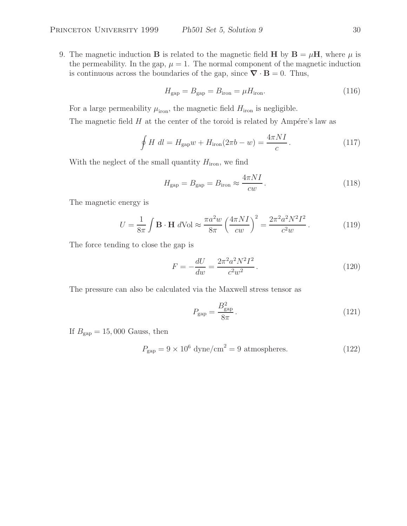9. The magnetic induction **B** is related to the magnetic field **H** by  $\mathbf{B} = \mu \mathbf{H}$ , where  $\mu$  is the permeability. In the gap,  $\mu = 1$ . The normal component of the magnetic induction is continuous across the boundaries of the gap, since  $\nabla \cdot \mathbf{B} = 0$ . Thus,

$$
H_{\rm gap} = B_{\rm gap} = B_{\rm iron} = \mu H_{\rm iron}.
$$
\n(116)

For a large permeability  $\mu_{\text{iron}}$ , the magnetic field  $H_{\text{iron}}$  is negligible.

The magnetic field  $H$  at the center of the toroid is related by Ampére's law as

$$
\oint H dl = H_{\text{gap}}w + H_{\text{iron}}(2\pi b - w) = \frac{4\pi NI}{c}.
$$
\n(117)

With the neglect of the small quantity  $H_{\text{iron}}$ , we find

$$
H_{\rm gap} = B_{\rm gap} = B_{\rm iron} \approx \frac{4\pi NI}{cw}.
$$
\n(118)

The magnetic energy is

$$
U = \frac{1}{8\pi} \int \mathbf{B} \cdot \mathbf{H} \, d\text{Vol} \approx \frac{\pi a^2 w}{8\pi} \left(\frac{4\pi N I}{cw}\right)^2 = \frac{2\pi^2 a^2 N^2 I^2}{c^2 w} \,. \tag{119}
$$

The force tending to close the gap is

$$
F = -\frac{dU}{dw} = \frac{2\pi^2 a^2 N^2 I^2}{c^2 w^2}.
$$
\n(120)

The pressure can also be calculated via the Maxwell stress tensor as

$$
P_{\rm gap} = \frac{B_{\rm gap}^2}{8\pi} \,. \tag{121}
$$

If  $B_{\text{gap}} = 15,000$  Gauss, then

$$
P_{\rm gap} = 9 \times 10^6 \, \text{dyne/cm}^2 = 9 \, \text{atmospheres.} \tag{122}
$$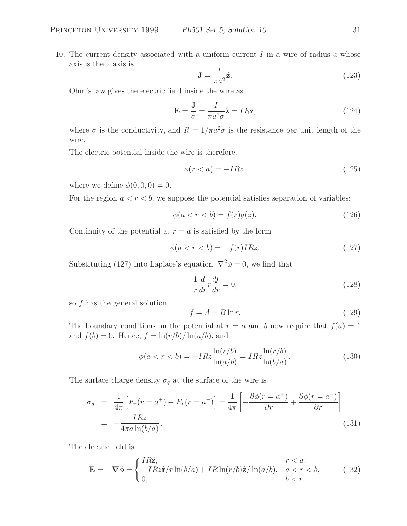10. The current density associated with a uniform current  $I$  in a wire of radius  $a$  whose axis is the z axis is

$$
\mathbf{J} = \frac{I}{\pi a^2} \hat{\mathbf{z}}.\tag{123}
$$

Ohm's law gives the electric field inside the wire as

$$
\mathbf{E} = \frac{\mathbf{J}}{\sigma} = \frac{I}{\pi a^2 \sigma} \hat{\mathbf{z}} = IR\hat{\mathbf{z}},\tag{124}
$$

where  $\sigma$  is the conductivity, and  $R = 1/\pi a^2 \sigma$  is the resistance per unit length of the wire.

The electric potential inside the wire is therefore,

$$
\phi(r < a) = -IRz,\tag{125}
$$

where we define  $\phi(0,0,0) = 0$ .

For the region  $a < r < b$ , we suppose the potential satisfies separation of variables:

$$
\phi(a < r < b) = f(r)g(z). \tag{126}
$$

Continuity of the potential at  $r = a$  is satisfied by the form

$$
\phi(a < r < b) = -f(r)IRz.\tag{127}
$$

Substituting (127) into Laplace's equation,  $\nabla^2 \phi = 0$ , we find that

$$
\frac{1}{r}\frac{d}{dr}r\frac{df}{dr} = 0,\t(128)
$$

so f has the general solution

$$
f = A + B \ln r. \tag{129}
$$

The boundary conditions on the potential at  $r = a$  and b now require that  $f(a) = 1$ and  $f(b) = 0$ . Hence,  $f = \ln(r/b)/\ln(a/b)$ , and

$$
\phi(a < r < b) = -IRz \frac{\ln(r/b)}{\ln(a/b)} = IRz \frac{\ln(r/b)}{\ln(b/a)}.
$$
\n(130)

The surface charge density  $\sigma_q$  at the surface of the wire is

$$
\sigma_q = \frac{1}{4\pi} \left[ E_r(r = a^+) - E_r(r = a^-) \right] = \frac{1}{4\pi} \left[ -\frac{\partial \phi(r = a^+)}{\partial r} + \frac{\partial \phi(r = a^-)}{\partial r} \right]
$$

$$
= -\frac{IRz}{4\pi a \ln(b/a)}.
$$
(131)

The electric field is

$$
\mathbf{E} = -\nabla \phi = \begin{cases} IR\hat{\mathbf{z}}, & r < a, \\ -IRz\hat{\mathbf{r}}/r\ln(b/a) + IR\ln(r/b)\hat{\mathbf{z}}/\ln(a/b), & a < r < b, \\ 0, & b < r. \end{cases}
$$
(132)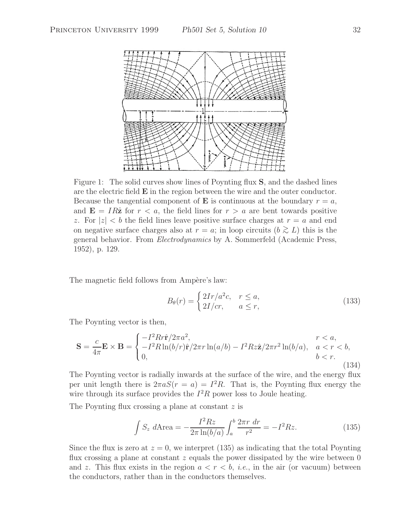

Figure 1: The solid curves show lines of Poynting flux **S**, and the dashed lines are the electric field **E** in the region between the wire and the outer conductor. Because the tangential component of **E** is continuous at the boundary  $r = a$ , and  $\mathbf{E} = IR\hat{\mathbf{z}}$  for  $r < a$ , the field lines for  $r > a$  are bent towards positive z. For  $|z| < b$  the field lines leave positive surface charges at  $r = a$  and end on negative surface charges also at  $r = a$ ; in loop circuits  $(b \ge L)$  this is the general behavior. From *Electrodynamics* by A. Sommerfeld (Academic Press, 1952), p. 129.

The magnetic field follows from Ampère's law:

$$
B_{\theta}(r) = \begin{cases} 2Ir/a^2c, & r \leq a, \\ 2I/cr, & a \leq r, \end{cases}
$$
 (133)

The Poynting vector is then,

$$
\mathbf{S} = \frac{c}{4\pi} \mathbf{E} \times \mathbf{B} = \begin{cases} -I^2 R r \hat{\mathbf{r}} / 2\pi a^2, & r < a, \\ -I^2 R \ln(b/r) \hat{\mathbf{r}} / 2\pi r \ln(a/b) - I^2 R z \hat{\mathbf{z}} / 2\pi r^2 \ln(b/a), & a < r < b, \\ 0, & b < r. \end{cases}
$$
(134)

The Poynting vector is radially inwards at the surface of the wire, and the energy flux per unit length there is  $2\pi aS(r = a) = I^2R$ . That is, the Poynting flux energy the wire through its surface provides the  $I^2R$  power loss to Joule heating.

The Poynting flux crossing a plane at constant z is

$$
\int S_z \, d\text{Area} = -\frac{I^2 R z}{2\pi \ln(b/a)} \int_a^b \frac{2\pi r \, dr}{r^2} = -I^2 R z. \tag{135}
$$

Since the flux is zero at  $z = 0$ , we interpret (135) as indicating that the total Poynting flux crossing a plane at constant  $z$  equals the power dissipated by the wire between 0 and z. This flux exists in the region  $a < r < b$ , *i.e.*, in the air (or vacuum) between the conductors, rather than in the conductors themselves.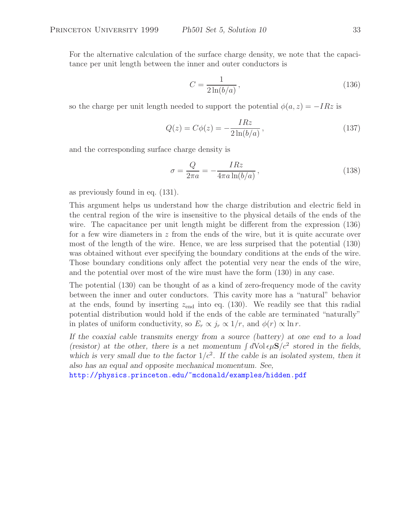For the alternative calculation of the surface charge density, we note that the capacitance per unit length between the inner and outer conductors is

$$
C = \frac{1}{2\ln(b/a)},\tag{136}
$$

so the charge per unit length needed to support the potential  $\phi(a, z) = -IRz$  is

$$
Q(z) = C\phi(z) = -\frac{IRz}{2\ln(b/a)},\qquad(137)
$$

and the corresponding surface charge density is

$$
\sigma = \frac{Q}{2\pi a} = -\frac{IRz}{4\pi a \ln(b/a)},\tag{138}
$$

as previously found in eq. (131).

This argument helps us understand how the charge distribution and electric field in the central region of the wire is insensitive to the physical details of the ends of the wire. The capacitance per unit length might be different from the expression (136) for a few wire diameters in  $z$  from the ends of the wire, but it is quite accurate over most of the length of the wire. Hence, we are less surprised that the potential (130) was obtained without ever specifying the boundary conditions at the ends of the wire. Those boundary conditions only affect the potential very near the ends of the wire, and the potential over most of the wire must have the form (130) in any case.

The potential (130) can be thought of as a kind of zero-frequency mode of the cavity between the inner and outer conductors. This cavity more has a "natural" behavior at the ends, found by inserting  $z_{\text{end}}$  into eq. (130). We readily see that this radial potential distribution would hold if the ends of the cable are terminated "naturally" in plates of uniform conductivity, so  $E_r \propto j_r \propto 1/r$ , and  $\phi(r) \propto \ln r$ .

*If the coaxial cable transmits energy from a source (battery) at one end to a load (resistor) at the other, there is a net momentum*  $\int dVol \epsilon \mu S/c^2$  *stored in the fields,* which is very small due to the factor  $1/c^2$ . If the cable is an isolated system, then it *also has an equal and opposite mechanical momentum. See,*

http://physics.princeton.edu/~mcdonald/examples/hidden.pdf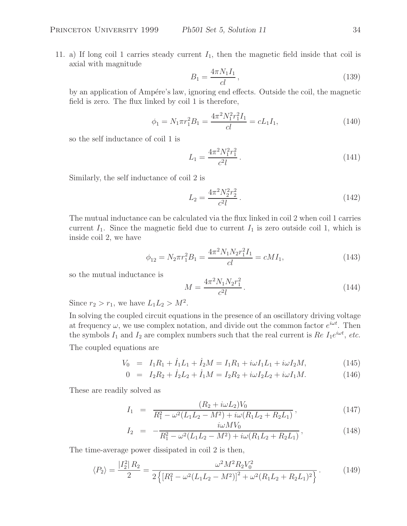11. a) If long coil 1 carries steady current  $I_1$ , then the magnetic field inside that coil is axial with magnitude

$$
B_1 = \frac{4\pi N_1 I_1}{cl},\tag{139}
$$

by an application of Ampére's law, ignoring end effects. Outside the coil, the magnetic field is zero. The flux linked by coil 1 is therefore,

$$
\phi_1 = N_1 \pi r_1^2 B_1 = \frac{4\pi^2 N_1^2 r_1^2 I_1}{cl} = c L_1 I_1,\tag{140}
$$

so the self inductance of coil 1 is

$$
L_1 = \frac{4\pi^2 N_1^2 r_1^2}{c^2 l} \,. \tag{141}
$$

Similarly, the self inductance of coil 2 is

$$
L_2 = \frac{4\pi^2 N_2^2 r_2^2}{c^2 l} \,. \tag{142}
$$

The mutual inductance can be calculated via the flux linked in coil 2 when coil 1 carries current  $I_1$ . Since the magnetic field due to current  $I_1$  is zero outside coil 1, which is inside coil 2, we have

$$
\phi_{12} = N_2 \pi r_1^2 B_1 = \frac{4\pi^2 N_1 N_2 r_1^2 I_1}{cl} = c M I_1,\tag{143}
$$

so the mutual inductance is

$$
M = \frac{4\pi^2 N_1 N_2 r_1^2}{c^2 l}.
$$
\n(144)

Since 
$$
r_2 > r_1
$$
, we have  $L_1L_2 > M^2$ .

In solving the coupled circuit equations in the presence of an oscillatory driving voltage at frequency  $\omega$ , we use complex notation, and divide out the common factor  $e^{i\omega t}$ . Then the symbols  $I_1$  and  $I_2$  are complex numbers such that the real current is  $Re I_1e^{i\omega t}$ , *etc.* 

The coupled equations are

$$
V_0 = I_1 R_1 + \dot{I}_1 L_1 + \dot{I}_2 M = I_1 R_1 + i\omega I_1 L_1 + i\omega I_2 M, \qquad (145)
$$

$$
0 = I_2 R_2 + I_2 L_2 + I_1 M = I_2 R_2 + i\omega I_2 L_2 + i\omega I_1 M.
$$
 (146)

These are readily solved as

$$
I_1 = \frac{(R_2 + i\omega L_2)V_0}{R_1^2 - \omega^2 (L_1 L_2 - M^2) + i\omega (R_1 L_2 + R_2 L_1)},
$$
\n(147)

$$
I_2 = -\frac{i\omega M V_0}{R_1^2 - \omega^2 (L_1 L_2 - M^2) + i\omega (R_1 L_2 + R_2 L_1)},
$$
\n(148)

The time-average power dissipated in coil 2 is then,

$$
\langle P_2 \rangle = \frac{|I_2^2| R_2}{2} = \frac{\omega^2 M^2 R_2 V_0^2}{2 \left\{ \left[ R_1^2 - \omega^2 (L_1 L_2 - M^2) \right]^2 + \omega^2 (R_1 L_2 + R_2 L_1)^2 \right\}}.
$$
(149)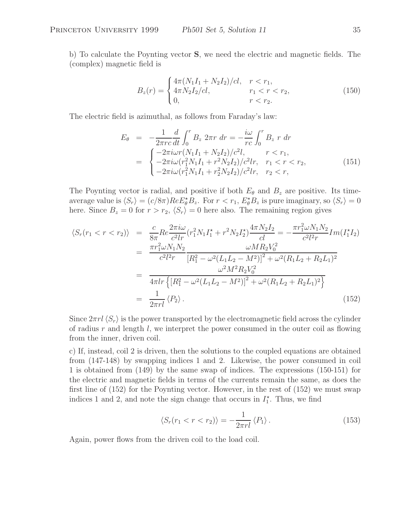b) To calculate the Poynting vector **S**, we need the electric and magnetic fields. The (complex) magnetic field is

$$
B_z(r) = \begin{cases} 4\pi (N_1 I_1 + N_2 I_2)/cl, & r < r_1, \\ 4\pi N_2 I_2/cl, & r_1 < r < r_2, \\ 0, & r < r_2. \end{cases}
$$
(150)

The electric field is azimuthal, as follows from Faraday's law:

$$
E_{\theta} = -\frac{1}{2\pi rc} \frac{d}{dt} \int_{0}^{r} B_{z} 2\pi r dr = -\frac{i\omega}{rc} \int_{0}^{r} B_{z} r dr
$$
  
\n
$$
= \begin{cases}\n-2\pi i \omega r (N_{1}I_{1} + N_{2}I_{2})/c^{2}l, & r < r_{1}, \\
-2\pi i \omega (r_{1}^{2}N_{1}I_{1} + r^{2}N_{2}I_{2})/c^{2}lr, & r_{1} < r < r_{2}, \\
-2\pi i \omega (r_{1}^{2}N_{1}I_{1} + r_{2}^{2}N_{2}I_{2})/c^{2}lr, & r_{2} < r,\n\end{cases}
$$
(151)

The Poynting vector is radial, and positive if both  $E_{\theta}$  and  $B_{z}$  are positive. Its timeaverage value is  $\langle S_r \rangle = (c/8\pi)Re E^*_{\theta}B_z$ . For  $r < r_1$ ,  $E^*_{\theta}B_z$  is pure imaginary, so  $\langle S_r \rangle = 0$ here. Since  $B_z = 0$  for  $r > r_2$ ,  $\langle S_r \rangle = 0$  here also. The remaining region gives

$$
\langle S_r(r_1 < r < r_2) \rangle = \frac{c}{8\pi} Re \frac{2\pi i \omega}{c^2 lr} (r_1^2 N_1 I_1^* + r^2 N_2 I_2^*) \frac{4\pi N_2 I_2}{c l} = -\frac{\pi r_1^2 \omega N_1 N_2}{c^2 l^2 r} Im(I_1^* I_2)
$$
  
\n
$$
= \frac{\pi r_1^2 \omega N_1 N_2}{c^2 l^2 r} \frac{\omega M R_2 V_0^2}{[R_1^2 - \omega^2 (L_1 L_2 - M^2)]^2 + \omega^2 (R_1 L_2 + R_2 L_1)^2}
$$
  
\n
$$
= \frac{\omega^2 M^2 R_2 V_0^2}{4\pi l r \{[R_1^2 - \omega^2 (L_1 L_2 - M^2)]^2 + \omega^2 (R_1 L_2 + R_2 L_1)^2\}}
$$
  
\n
$$
= \frac{1}{2\pi r l} \langle P_2 \rangle.
$$
 (152)

Since  $2\pi r l \langle S_r \rangle$  is the power transported by the electromagnetic field across the cylinder of radius  $r$  and length  $l$ , we interpret the power consumed in the outer coil as flowing from the inner, driven coil.

c) If, instead, coil 2 is driven, then the solutions to the coupled equations are obtained from (147-148) by swapping indices 1 and 2. Likewise, the power consumed in coil 1 is obtained from (149) by the same swap of indices. The expressions (150-151) for the electric and magnetic fields in terms of the currents remain the same, as does the first line of (152) for the Poynting vector. However, in the rest of (152) we must swap indices 1 and 2, and note the sign change that occurs in  $I_1^*$ . Thus, we find

$$
\langle S_r(r_1 < r < r_2) \rangle = -\frac{1}{2\pi r l} \langle P_1 \rangle \,. \tag{153}
$$

Again, power flows from the driven coil to the load coil.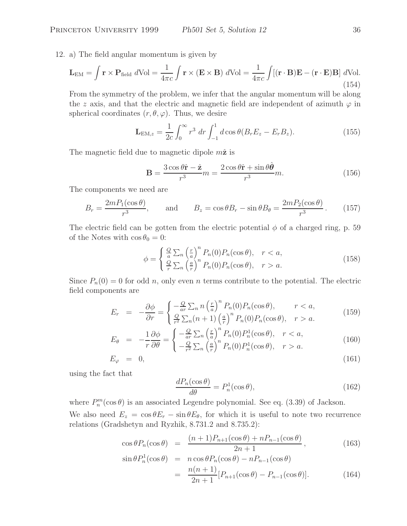12. a) The field angular momentum is given by

$$
\mathbf{L}_{\text{EM}} = \int \mathbf{r} \times \mathbf{P}_{\text{field}} d\text{Vol} = \frac{1}{4\pi c} \int \mathbf{r} \times (\mathbf{E} \times \mathbf{B}) d\text{Vol} = \frac{1}{4\pi c} \int [(\mathbf{r} \cdot \mathbf{B}) \mathbf{E} - (\mathbf{r} \cdot \mathbf{E}) \mathbf{B}] d\text{Vol}.
$$
\n(154)

From the symmetry of the problem, we infer that the angular momentum will be along the z axis, and that the electric and magnetic field are independent of azimuth  $\varphi$  in spherical coordinates  $(r, \theta, \varphi)$ . Thus, we desire

$$
\mathbf{L}_{\text{EM},z} = \frac{1}{2c} \int_0^\infty r^3 \, dr \int_{-1}^1 d \cos \theta (B_r E_z - E_r B_z). \tag{155}
$$

The magnetic field due to magnetic dipole  $m\hat{z}$  is

$$
\mathbf{B} = \frac{3\cos\theta\hat{\mathbf{r}} - \hat{\mathbf{z}}}{r^3}m = \frac{2\cos\theta\hat{\mathbf{r}} + \sin\theta\hat{\boldsymbol{\theta}}}{r^3}m.
$$
 (156)

The components we need are

$$
B_r = \frac{2mP_1(\cos\theta)}{r^3}, \quad \text{and} \quad B_z = \cos\theta B_r - \sin\theta B_\theta = \frac{2mP_2(\cos\theta)}{r^3}.
$$
 (157)

The electric field can be gotten from the electric potential  $\phi$  of a charged ring, p. 59 of the Notes with  $\cos \theta_0 = 0$ :

$$
\phi = \begin{cases} \frac{Q}{a} \sum_{n} \left(\frac{r}{a}\right)^{n} P_{n}(0) P_{n}(\cos \theta), & r < a, \\ \frac{Q}{r} \sum_{n} \left(\frac{a}{r}\right)^{n} P_{n}(0) P_{n}(\cos \theta), & r > a. \end{cases}
$$
(158)

Since  $P_n(0) = 0$  for odd n, only even n terms contribute to the potential. The electric field components are

$$
E_r = -\frac{\partial \phi}{\partial r} = \begin{cases} -\frac{Q}{ar} \sum_n n \left(\frac{r}{a}\right)^n P_n(0) P_n(\cos \theta), & r < a, \\ \frac{Q}{r^2} \sum_n (n+1) \left(\frac{a}{r}\right)^n P_n(0) P_n(\cos \theta), & r > a. \end{cases}
$$
(159)

$$
E_{\theta} = -\frac{1}{r} \frac{\partial \phi}{\partial \theta} = \begin{cases} -\frac{Q}{ar} \sum_{n} \left(\frac{r}{a}\right)^{n} P_{n}(0) P_{n}^{1}(\cos \theta), & r < a, \\ -\frac{Q}{r^{2}} \sum_{n} \left(\frac{a}{r}\right)^{n} P_{n}(0) P_{n}^{1}(\cos \theta), & r > a. \end{cases}
$$
(160)

$$
E_{\varphi} = 0, \tag{161}
$$

using the fact that

$$
\frac{dP_n(\cos\theta)}{d\theta} = P_n^1(\cos\theta),\tag{162}
$$

where  $P_n^m(\cos\theta)$  is an associated Legendre polynomial. See eq. (3.39) of Jackson. We also need  $E_z = \cos \theta E_r - \sin \theta E_\theta$ , for which it is useful to note two recurrence relations (Gradshetyn and Ryzhik, 8.731.2 and 8.735.2):

$$
\cos \theta P_n(\cos \theta) = \frac{(n+1)P_{n+1}(\cos \theta) + nP_{n-1}(\cos \theta)}{2n+1},
$$
\n
$$
\sin \theta P_n^1(\cos \theta) = n \cos \theta P_n(\cos \theta) - nP_{n-1}(\cos \theta)
$$
\n(163)

$$
\theta P_n^1(\cos \theta) = n \cos \theta P_n(\cos \theta) - n P_{n-1}(\cos \theta)
$$
  

$$
= \frac{n(n+1)}{2n+1} [P_{n+1}(\cos \theta) - P_{n-1}(\cos \theta)]. \qquad (164)
$$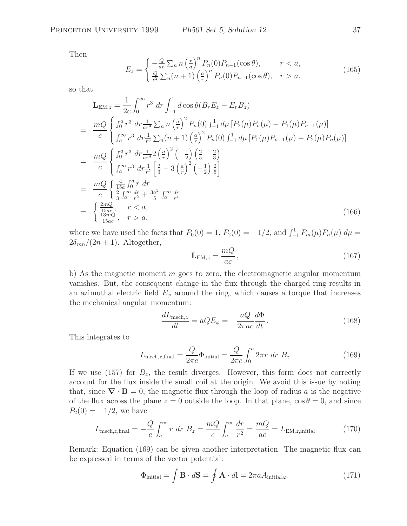Then

$$
E_z = \begin{cases} -\frac{Q}{ar} \sum_n n \left(\frac{r}{a}\right)^n P_n(0) P_{n-1}(\cos \theta), & r < a, \\ \frac{Q}{r^2} \sum_n (n+1) \left(\frac{a}{r}\right)^n P_n(0) P_{n+1}(\cos \theta), & r > a. \end{cases}
$$
(165)

so that

$$
\mathbf{L}_{EM,z} = \frac{1}{2c} \int_0^\infty r^3 dr \int_{-1}^1 d\cos\theta (B_r E_z - E_r B_z)
$$
  
\n
$$
= \frac{mQ}{c} \begin{cases} \int_0^a r^3 dr \frac{1}{a^{r4}} \sum_n n \left(\frac{a}{r}\right)^2 P_n(0) \int_{-1}^1 d\mu \left[ P_2(\mu) P_n(\mu) - P_1(\mu) P_{n-1}(\mu) \right] \\ \int_a^\infty r^3 dr \frac{1}{r^5} \sum_n (n+1) \left(\frac{a}{r}\right)^2 P_n(0) \int_{-1}^1 d\mu \left[ P_1(\mu) P_{n+1}(\mu) - P_2(\mu) P_n(\mu) \right] \end{cases}
$$
  
\n
$$
= \frac{mQ}{c} \begin{cases} \int_0^a r^3 dr \frac{1}{ar^4} 2 \left(\frac{a}{r}\right)^2 \left(-\frac{1}{2}\right) \left(\frac{2}{5} - \frac{2}{3}\right) \\ \int_a^\infty r^3 dr \frac{1}{r^5} \left[\frac{2}{3} - 3 \left(\frac{a}{r}\right)^2 \left(-\frac{1}{2}\right) \frac{2}{5}\right] \end{cases}
$$
  
\n
$$
= \frac{mQ}{c} \begin{cases} \frac{4}{15a} \int_0^a r dr \\ \frac{2}{3} \int_a^\infty \frac{dr}{r^2} + \frac{3a^2}{5} \int_a^\infty \frac{dr}{r^4} \\ \frac{13nc}{15ac}, \quad r > a. \end{cases}
$$
  
\n(166)

where we have used the facts that  $P_0(0) = 1$ ,  $P_2(0) = -1/2$ , and  $\int_{-1}^{1} P_m(\mu) P_n(\mu) d\mu =$  $2\delta_{mn}/(2n+1)$ . Altogether,

$$
\mathbf{L}_{\text{EM},z} = \frac{mQ}{ac},\tag{167}
$$

b) As the magnetic moment  $m$  goes to zero, the electromagnetic angular momentum vanishes. But, the consequent change in the flux through the charged ring results in an azimuthal electric field  $E_{\varphi}$  around the ring, which causes a torque that increases the mechanical angular momentum:

$$
\frac{dL_{\text{mech},z}}{dt} = aQE_{\varphi} = -\frac{aQ}{2\pi ac}\frac{d\Phi}{dt}.
$$
\n(168)

This integrates to

$$
L_{\text{mech},z,\text{final}} = \frac{Q}{2\pi c} \Phi_{\text{initial}} = \frac{Q}{2\pi c} \int_0^a 2\pi r \, dr \, B_z \tag{169}
$$

If we use (157) for  $B_z$ , the result diverges. However, this form does not correctly account for the flux inside the small coil at the origin. We avoid this issue by noting that, since  $\nabla \cdot \mathbf{B} = 0$ , the magnetic flux through the loop of radius a is the negative of the flux across the plane  $z = 0$  outside the loop. In that plane,  $\cos \theta = 0$ , and since  $P_2(0) = -1/2$ , we have

$$
L_{\text{mech},z,\text{final}} = -\frac{Q}{c} \int_{a}^{\infty} r \ dr \ B_{z} = \frac{mQ}{c} \int_{a}^{\infty} \frac{dr}{r^{2}} = \frac{mQ}{ac} = L_{\text{EM},z,\text{initial}}.\tag{170}
$$

Remark: Equation (169) can be given another interpretation. The magnetic flux can be expressed in terms of the vector potential:

$$
\Phi_{\text{initial}} = \int \mathbf{B} \cdot d\mathbf{S} = \oint \mathbf{A} \cdot d\mathbf{l} = 2\pi a A_{\text{initial},\varphi}.
$$
 (171)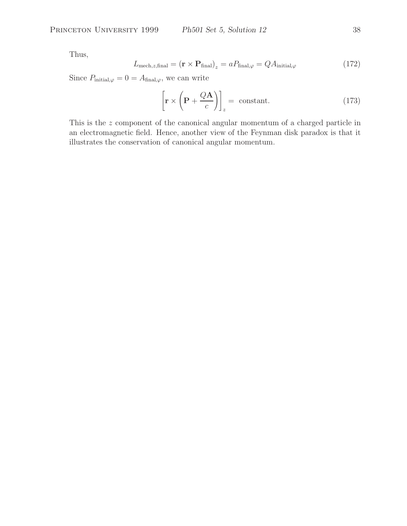Thus,

$$
L_{\text{mech},z,\text{final}} = (\mathbf{r} \times \mathbf{P}_{\text{final}})_z = a P_{\text{final},\varphi} = QA_{\text{initial},\varphi}
$$
 (172)

Since  $P_{initial,\varphi} = 0 = A_{final,\varphi}$ , we can write

$$
\left[\mathbf{r} \times \left(\mathbf{P} + \frac{Q\mathbf{A}}{c}\right)\right]_{z} = \text{ constant.} \tag{173}
$$

This is the z component of the canonical angular momentum of a charged particle in an electromagnetic field. Hence, another view of the Feynman disk paradox is that it illustrates the conservation of canonical angular momentum.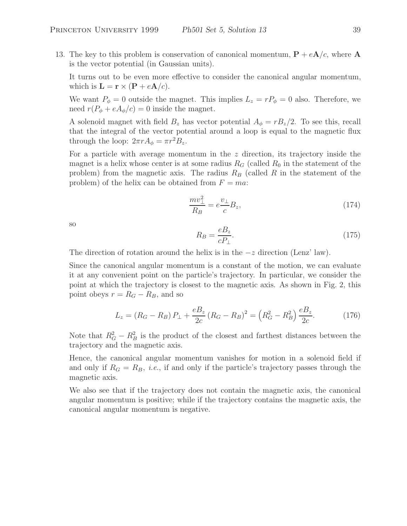13. The key to this problem is conservation of canonical momentum,  $P + eA/c$ , where A is the vector potential (in Gaussian units).

It turns out to be even more effective to consider the canonical angular momentum, which is  $\mathbf{L} = \mathbf{r} \times (\mathbf{P} + e\mathbf{A}/c)$ .

We want  $P_{\phi} = 0$  outside the magnet. This implies  $L_z = rP_{\phi} = 0$  also. Therefore, we need  $r(P_{\phi} + eA_{\phi}/c) = 0$  inside the magnet.

A solenoid magnet with field  $B_z$  has vector potential  $A_{\phi} = rB_z/2$ . To see this, recall that the integral of the vector potential around a loop is equal to the magnetic flux through the loop:  $2\pi r A_{\phi} = \pi r^2 B_z$ .

For a particle with average momentum in the  $z$  direction, its trajectory inside the magnet is a helix whose center is at some radius  $R_G$  (called  $R_0$  in the statement of the problem) from the magnetic axis. The radius  $R_B$  (called R in the statement of the problem) of the helix can be obtained from  $F = ma$ .

$$
\frac{mv_{\perp}^2}{R_B} = e^{\frac{v_{\perp}}{c}}B_z,\tag{174}
$$

so

$$
R_B = \frac{eB_z}{cP_\perp}.\tag{175}
$$

The direction of rotation around the helix is in the  $-z$  direction (Lenz' law).

Since the canonical angular momentum is a constant of the motion, we can evaluate it at any convenient point on the particle's trajectory. In particular, we consider the point at which the trajectory is closest to the magnetic axis. As shown in Fig. 2, this point obeys  $r = R_G - R_B$ , and so

$$
L_z = (R_G - R_B) P_{\perp} + \frac{eB_z}{2c} (R_G - R_B)^2 = (R_G^2 - R_B^2) \frac{eB_z}{2c}.
$$
 (176)

Note that  $R_G^2 - R_B^2$  is the product of the closest and farthest distances between the trajectory and the magnetic axis.

Hence, the canonical angular momentum vanishes for motion in a solenoid field if and only if  $R_G = R_B$ , *i.e.*, if and only if the particle's trajectory passes through the magnetic axis.

We also see that if the trajectory does not contain the magnetic axis, the canonical angular momentum is positive; while if the trajectory contains the magnetic axis, the canonical angular momentum is negative.